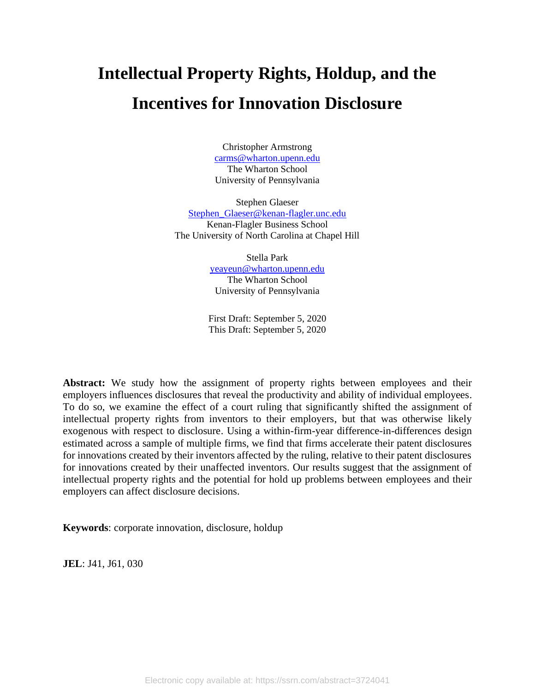# **Intellectual Property Rights, Holdup, and the Incentives for Innovation Disclosure**

Christopher Armstrong [carms@wharton.upenn.edu](mailto:carms@wharton.upenn.edu) The Wharton School University of Pennsylvania

Stephen Glaeser [Stephen\\_Glaeser@kenan-flagler.unc.edu](mailto:Stephen_Glaeser@kenan-flagler.unc.edu) Kenan-Flagler Business School The University of North Carolina at Chapel Hill

> Stella Park [yeayeun@wharton.upenn.edu](mailto:yeayeun@wharton.upenn.edu) The Wharton School University of Pennsylvania

First Draft: September 5, 2020 This Draft: September 5, 2020

Abstract: We study how the assignment of property rights between employees and their employers influences disclosures that reveal the productivity and ability of individual employees. To do so, we examine the effect of a court ruling that significantly shifted the assignment of intellectual property rights from inventors to their employers, but that was otherwise likely exogenous with respect to disclosure. Using a within-firm-year difference-in-differences design estimated across a sample of multiple firms, we find that firms accelerate their patent disclosures for innovations created by their inventors affected by the ruling, relative to their patent disclosures for innovations created by their unaffected inventors. Our results suggest that the assignment of intellectual property rights and the potential for hold up problems between employees and their employers can affect disclosure decisions.

**Keywords**: corporate innovation, disclosure, holdup

**JEL**: J41, J61, 030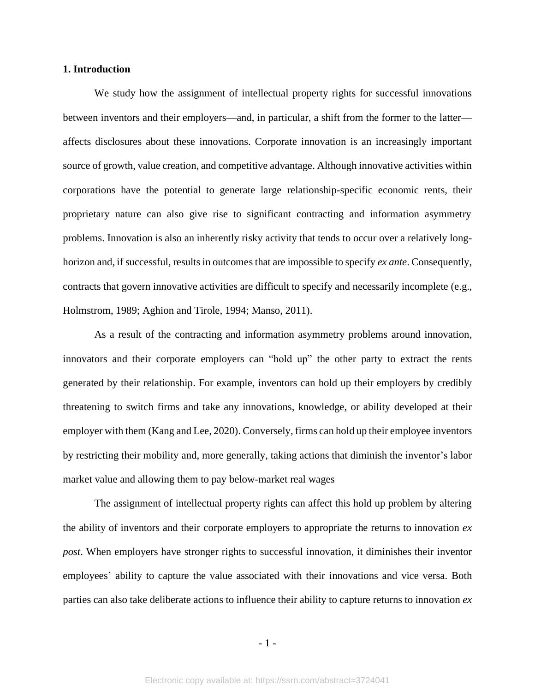## **1. Introduction**

We study how the assignment of intellectual property rights for successful innovations between inventors and their employers—and, in particular, a shift from the former to the latter affects disclosures about these innovations. Corporate innovation is an increasingly important source of growth, value creation, and competitive advantage. Although innovative activities within corporations have the potential to generate large relationship-specific economic rents, their proprietary nature can also give rise to significant contracting and information asymmetry problems. Innovation is also an inherently risky activity that tends to occur over a relatively longhorizon and, if successful, results in outcomes that are impossible to specify *ex ante*. Consequently, contracts that govern innovative activities are difficult to specify and necessarily incomplete (e.g., Holmstrom, 1989; Aghion and Tirole, 1994; Manso, 2011).

As a result of the contracting and information asymmetry problems around innovation, innovators and their corporate employers can "hold up" the other party to extract the rents generated by their relationship. For example, inventors can hold up their employers by credibly threatening to switch firms and take any innovations, knowledge, or ability developed at their employer with them (Kang and Lee, 2020). Conversely, firms can hold up their employee inventors by restricting their mobility and, more generally, taking actions that diminish the inventor's labor market value and allowing them to pay below-market real wages

The assignment of intellectual property rights can affect this hold up problem by altering the ability of inventors and their corporate employers to appropriate the returns to innovation *ex post*. When employers have stronger rights to successful innovation, it diminishes their inventor employees' ability to capture the value associated with their innovations and vice versa. Both parties can also take deliberate actions to influence their ability to capture returns to innovation *ex*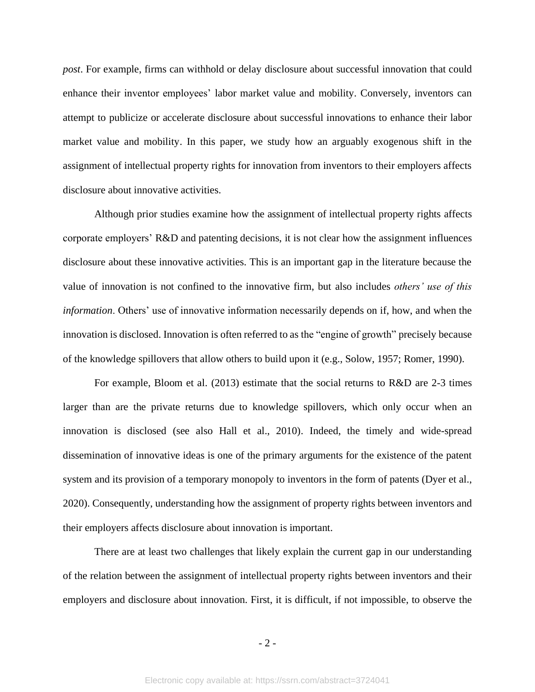*post*. For example, firms can withhold or delay disclosure about successful innovation that could enhance their inventor employees' labor market value and mobility. Conversely, inventors can attempt to publicize or accelerate disclosure about successful innovations to enhance their labor market value and mobility. In this paper, we study how an arguably exogenous shift in the assignment of intellectual property rights for innovation from inventors to their employers affects disclosure about innovative activities.

Although prior studies examine how the assignment of intellectual property rights affects corporate employers' R&D and patenting decisions, it is not clear how the assignment influences disclosure about these innovative activities. This is an important gap in the literature because the value of innovation is not confined to the innovative firm, but also includes *others' use of this information*. Others' use of innovative information necessarily depends on if, how, and when the innovation is disclosed. Innovation is often referred to as the "engine of growth" precisely because of the knowledge spillovers that allow others to build upon it (e.g., Solow, 1957; Romer, 1990).

For example, Bloom et al. (2013) estimate that the social returns to R&D are 2-3 times larger than are the private returns due to knowledge spillovers, which only occur when an innovation is disclosed (see also Hall et al., 2010). Indeed, the timely and wide-spread dissemination of innovative ideas is one of the primary arguments for the existence of the patent system and its provision of a temporary monopoly to inventors in the form of patents (Dyer et al., 2020). Consequently, understanding how the assignment of property rights between inventors and their employers affects disclosure about innovation is important.

There are at least two challenges that likely explain the current gap in our understanding of the relation between the assignment of intellectual property rights between inventors and their employers and disclosure about innovation. First, it is difficult, if not impossible, to observe the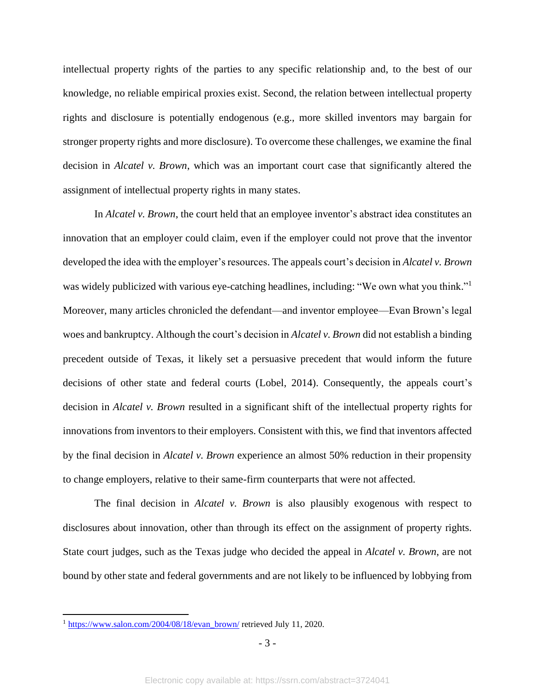intellectual property rights of the parties to any specific relationship and, to the best of our knowledge, no reliable empirical proxies exist. Second, the relation between intellectual property rights and disclosure is potentially endogenous (e.g., more skilled inventors may bargain for stronger property rights and more disclosure). To overcome these challenges, we examine the final decision in *Alcatel v. Brown*, which was an important court case that significantly altered the assignment of intellectual property rights in many states.

In *Alcatel v. Brown*, the court held that an employee inventor's abstract idea constitutes an innovation that an employer could claim, even if the employer could not prove that the inventor developed the idea with the employer's resources. The appeals court's decision in *Alcatel v. Brown* was widely publicized with various eye-catching headlines, including: "We own what you think."<sup>1</sup> Moreover, many articles chronicled the defendant—and inventor employee—Evan Brown's legal woes and bankruptcy. Although the court's decision in *Alcatel v. Brown* did not establish a binding precedent outside of Texas, it likely set a persuasive precedent that would inform the future decisions of other state and federal courts (Lobel, 2014). Consequently, the appeals court's decision in *Alcatel v. Brown* resulted in a significant shift of the intellectual property rights for innovations from inventors to their employers. Consistent with this, we find that inventors affected by the final decision in *Alcatel v. Brown* experience an almost 50% reduction in their propensity to change employers, relative to their same-firm counterparts that were not affected.

The final decision in *Alcatel v. Brown* is also plausibly exogenous with respect to disclosures about innovation, other than through its effect on the assignment of property rights. State court judges, such as the Texas judge who decided the appeal in *Alcatel v. Brown*, are not bound by other state and federal governments and are not likely to be influenced by lobbying from

<sup>&</sup>lt;sup>1</sup> [https://www.salon.com/2004/08/18/evan\\_brown/](https://www.salon.com/2004/08/18/evan_brown/) retrieved July 11, 2020.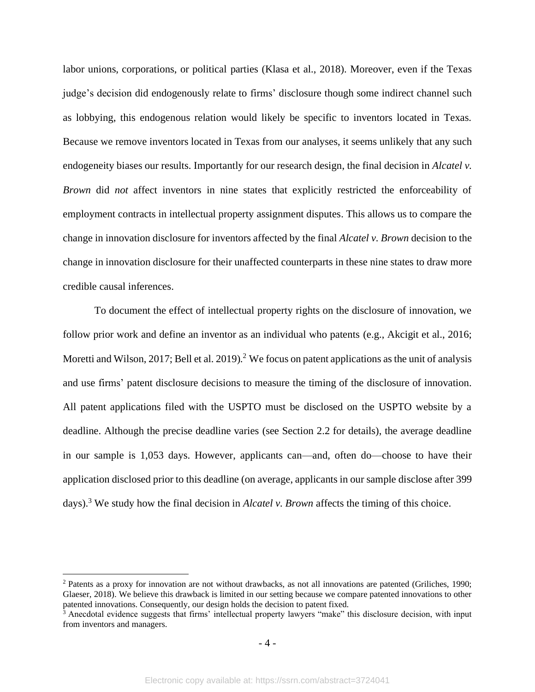labor unions, corporations, or political parties (Klasa et al., 2018). Moreover, even if the Texas judge's decision did endogenously relate to firms' disclosure though some indirect channel such as lobbying, this endogenous relation would likely be specific to inventors located in Texas. Because we remove inventors located in Texas from our analyses, it seems unlikely that any such endogeneity biases our results. Importantly for our research design, the final decision in *Alcatel v. Brown* did *not* affect inventors in nine states that explicitly restricted the enforceability of employment contracts in intellectual property assignment disputes. This allows us to compare the change in innovation disclosure for inventors affected by the final *Alcatel v. Brown* decision to the change in innovation disclosure for their unaffected counterparts in these nine states to draw more credible causal inferences.

To document the effect of intellectual property rights on the disclosure of innovation, we follow prior work and define an inventor as an individual who patents (e.g., Akcigit et al., 2016; Moretti and Wilson, 2017; Bell et al. 2019).<sup>2</sup> We focus on patent applications as the unit of analysis and use firms' patent disclosure decisions to measure the timing of the disclosure of innovation. All patent applications filed with the USPTO must be disclosed on the USPTO website by a deadline. Although the precise deadline varies (see Section 2.2 for details), the average deadline in our sample is 1,053 days. However, applicants can—and, often do—choose to have their application disclosed prior to this deadline (on average, applicants in our sample disclose after 399 days). <sup>3</sup> We study how the final decision in *Alcatel v. Brown* affects the timing of this choice.

<sup>2</sup> Patents as a proxy for innovation are not without drawbacks, as not all innovations are patented (Griliches, 1990; Glaeser, 2018). We believe this drawback is limited in our setting because we compare patented innovations to other patented innovations. Consequently, our design holds the decision to patent fixed.

 $3$  Anecdotal evidence suggests that firms' intellectual property lawyers "make" this disclosure decision, with input from inventors and managers.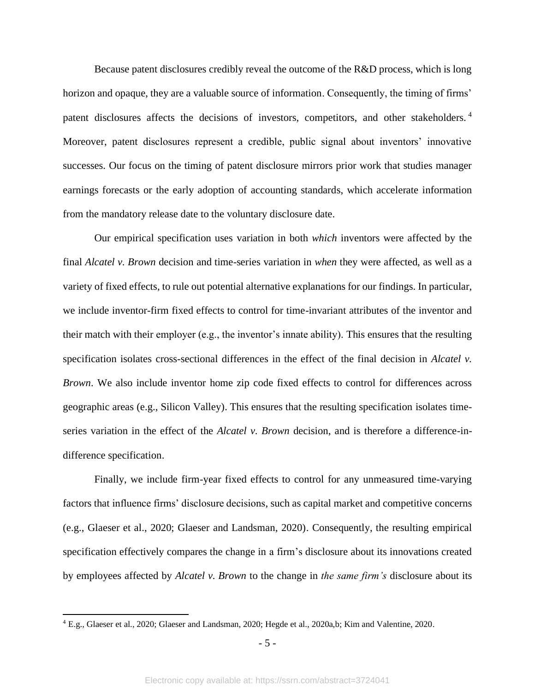Because patent disclosures credibly reveal the outcome of the R&D process, which is long horizon and opaque, they are a valuable source of information. Consequently, the timing of firms' patent disclosures affects the decisions of investors, competitors, and other stakeholders.<sup>4</sup> Moreover, patent disclosures represent a credible, public signal about inventors' innovative successes. Our focus on the timing of patent disclosure mirrors prior work that studies manager earnings forecasts or the early adoption of accounting standards, which accelerate information from the mandatory release date to the voluntary disclosure date.

Our empirical specification uses variation in both *which* inventors were affected by the final *Alcatel v. Brown* decision and time-series variation in *when* they were affected, as well as a variety of fixed effects, to rule out potential alternative explanations for our findings. In particular, we include inventor-firm fixed effects to control for time-invariant attributes of the inventor and their match with their employer (e.g., the inventor's innate ability). This ensures that the resulting specification isolates cross-sectional differences in the effect of the final decision in *Alcatel v. Brown*. We also include inventor home zip code fixed effects to control for differences across geographic areas (e.g., Silicon Valley). This ensures that the resulting specification isolates timeseries variation in the effect of the *Alcatel v. Brown* decision, and is therefore a difference-indifference specification.

Finally, we include firm-year fixed effects to control for any unmeasured time-varying factors that influence firms' disclosure decisions, such as capital market and competitive concerns (e.g., Glaeser et al., 2020; Glaeser and Landsman, 2020). Consequently, the resulting empirical specification effectively compares the change in a firm's disclosure about its innovations created by employees affected by *Alcatel v. Brown* to the change in *the same firm's* disclosure about its

<sup>4</sup> E.g., Glaeser et al., 2020; Glaeser and Landsman, 2020; Hegde et al., 2020a,b; Kim and Valentine, 2020.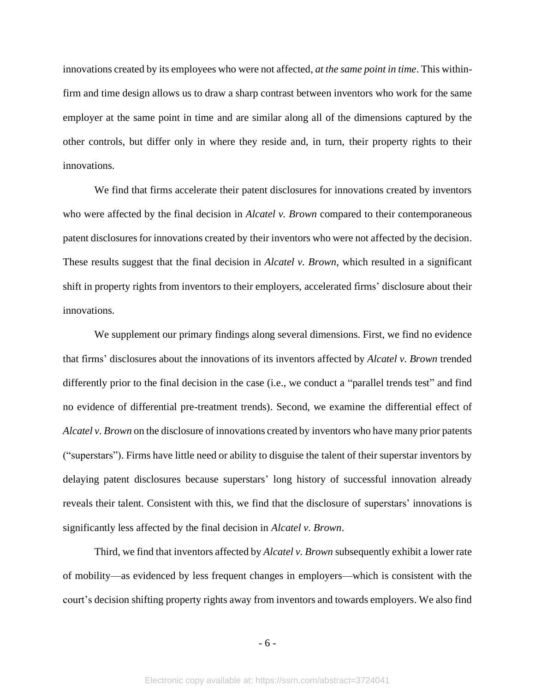innovations created by its employees who were not affected, *at the same point in time*. This withinfirm and time design allows us to draw a sharp contrast between inventors who work for the same employer at the same point in time and are similar along all of the dimensions captured by the other controls, but differ only in where they reside and, in turn, their property rights to their innovations.

We find that firms accelerate their patent disclosures for innovations created by inventors who were affected by the final decision in *Alcatel v. Brown* compared to their contemporaneous patent disclosures for innovations created by their inventors who were not affected by the decision. These results suggest that the final decision in *Alcatel v. Brown*, which resulted in a significant shift in property rights from inventors to their employers, accelerated firms' disclosure about their innovations.

We supplement our primary findings along several dimensions. First, we find no evidence that firms' disclosures about the innovations of its inventors affected by *Alcatel v. Brown* trended differently prior to the final decision in the case (i.e., we conduct a "parallel trends test" and find no evidence of differential pre-treatment trends). Second, we examine the differential effect of *Alcatel v. Brown* on the disclosure of innovations created by inventors who have many prior patents ("superstars"). Firms have little need or ability to disguise the talent of their superstar inventors by delaying patent disclosures because superstars' long history of successful innovation already reveals their talent. Consistent with this, we find that the disclosure of superstars' innovations is significantly less affected by the final decision in *Alcatel v. Brown*.

Third, we find that inventors affected by *Alcatel v. Brown* subsequently exhibit a lower rate of mobility—as evidenced by less frequent changes in employers—which is consistent with the court's decision shifting property rights away from inventors and towards employers. We also find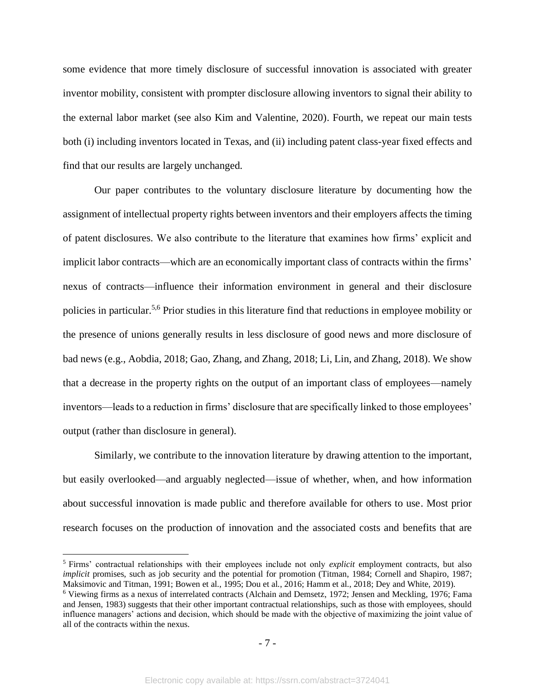some evidence that more timely disclosure of successful innovation is associated with greater inventor mobility, consistent with prompter disclosure allowing inventors to signal their ability to the external labor market (see also Kim and Valentine, 2020). Fourth, we repeat our main tests both (i) including inventors located in Texas, and (ii) including patent class-year fixed effects and find that our results are largely unchanged.

Our paper contributes to the voluntary disclosure literature by documenting how the assignment of intellectual property rights between inventors and their employers affects the timing of patent disclosures. We also contribute to the literature that examines how firms' explicit and implicit labor contracts—which are an economically important class of contracts within the firms' nexus of contracts—influence their information environment in general and their disclosure policies in particular.5,6 Prior studies in this literature find that reductions in employee mobility or the presence of unions generally results in less disclosure of good news and more disclosure of bad news (e.g., Aobdia, 2018; Gao, Zhang, and Zhang, 2018; Li, Lin, and Zhang, 2018). We show that a decrease in the property rights on the output of an important class of employees—namely inventors—leads to a reduction in firms' disclosure that are specifically linked to those employees' output (rather than disclosure in general).

Similarly, we contribute to the innovation literature by drawing attention to the important, but easily overlooked—and arguably neglected—issue of whether, when, and how information about successful innovation is made public and therefore available for others to use. Most prior research focuses on the production of innovation and the associated costs and benefits that are

<sup>5</sup> Firms' contractual relationships with their employees include not only *explicit* employment contracts, but also *implicit* promises, such as job security and the potential for promotion (Titman, 1984; Cornell and Shapiro, 1987; Maksimovic and Titman, 1991; Bowen et al., 1995; Dou et al., 2016; Hamm et al., 2018; Dey and White, 2019).

<sup>6</sup> Viewing firms as a nexus of interrelated contracts (Alchain and Demsetz, 1972; Jensen and Meckling, 1976; Fama and Jensen, 1983) suggests that their other important contractual relationships, such as those with employees, should influence managers' actions and decision, which should be made with the objective of maximizing the joint value of all of the contracts within the nexus.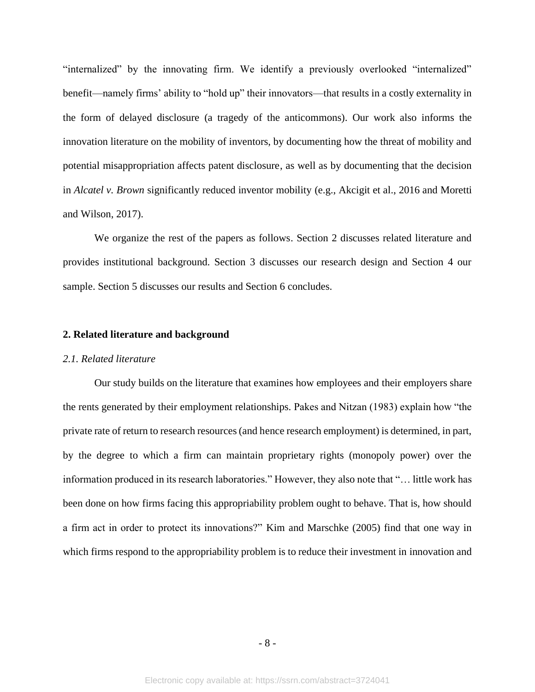"internalized" by the innovating firm. We identify a previously overlooked "internalized" benefit—namely firms' ability to "hold up" their innovators—that results in a costly externality in the form of delayed disclosure (a tragedy of the anticommons). Our work also informs the innovation literature on the mobility of inventors, by documenting how the threat of mobility and potential misappropriation affects patent disclosure, as well as by documenting that the decision in *Alcatel v. Brown* significantly reduced inventor mobility (e.g., Akcigit et al., 2016 and Moretti and Wilson, 2017).

We organize the rest of the papers as follows. Section 2 discusses related literature and provides institutional background. Section 3 discusses our research design and Section 4 our sample. Section 5 discusses our results and Section 6 concludes.

#### **2. Related literature and background**

#### *2.1. Related literature*

Our study builds on the literature that examines how employees and their employers share the rents generated by their employment relationships. Pakes and Nitzan (1983) explain how "the private rate of return to research resources (and hence research employment) is determined, in part, by the degree to which a firm can maintain proprietary rights (monopoly power) over the information produced in its research laboratories." However, they also note that "… little work has been done on how firms facing this appropriability problem ought to behave. That is, how should a firm act in order to protect its innovations?" Kim and Marschke (2005) find that one way in which firms respond to the appropriability problem is to reduce their investment in innovation and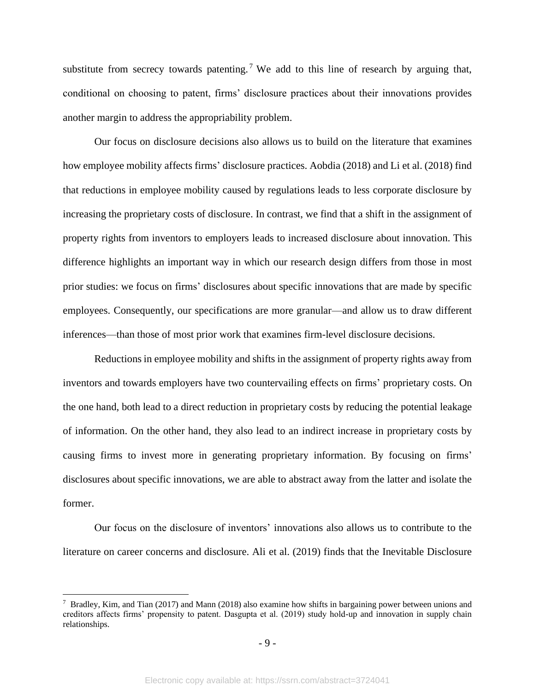substitute from secrecy towards patenting.<sup>7</sup> We add to this line of research by arguing that, conditional on choosing to patent, firms' disclosure practices about their innovations provides another margin to address the appropriability problem.

Our focus on disclosure decisions also allows us to build on the literature that examines how employee mobility affects firms' disclosure practices. Aobdia (2018) and Li et al. (2018) find that reductions in employee mobility caused by regulations leads to less corporate disclosure by increasing the proprietary costs of disclosure. In contrast, we find that a shift in the assignment of property rights from inventors to employers leads to increased disclosure about innovation. This difference highlights an important way in which our research design differs from those in most prior studies: we focus on firms' disclosures about specific innovations that are made by specific employees. Consequently, our specifications are more granular—and allow us to draw different inferences—than those of most prior work that examines firm-level disclosure decisions.

Reductions in employee mobility and shifts in the assignment of property rights away from inventors and towards employers have two countervailing effects on firms' proprietary costs. On the one hand, both lead to a direct reduction in proprietary costs by reducing the potential leakage of information. On the other hand, they also lead to an indirect increase in proprietary costs by causing firms to invest more in generating proprietary information. By focusing on firms' disclosures about specific innovations, we are able to abstract away from the latter and isolate the former.

Our focus on the disclosure of inventors' innovations also allows us to contribute to the literature on career concerns and disclosure. Ali et al. (2019) finds that the Inevitable Disclosure

<sup>7</sup> Bradley, Kim, and Tian (2017) and Mann (2018) also examine how shifts in bargaining power between unions and creditors affects firms' propensity to patent. Dasgupta et al. (2019) study hold-up and innovation in supply chain relationships.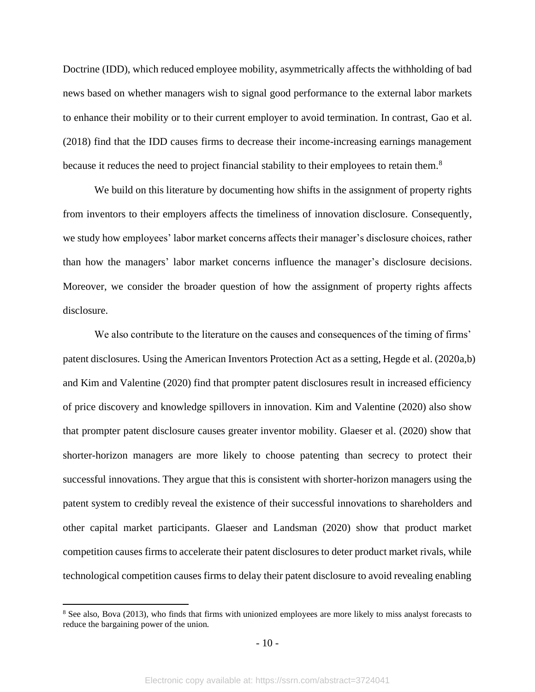Doctrine (IDD), which reduced employee mobility, asymmetrically affects the withholding of bad news based on whether managers wish to signal good performance to the external labor markets to enhance their mobility or to their current employer to avoid termination. In contrast, Gao et al. (2018) find that the IDD causes firms to decrease their income-increasing earnings management because it reduces the need to project financial stability to their employees to retain them.<sup>8</sup>

We build on this literature by documenting how shifts in the assignment of property rights from inventors to their employers affects the timeliness of innovation disclosure. Consequently, we study how employees' labor market concerns affects their manager's disclosure choices, rather than how the managers' labor market concerns influence the manager's disclosure decisions. Moreover, we consider the broader question of how the assignment of property rights affects disclosure.

We also contribute to the literature on the causes and consequences of the timing of firms' patent disclosures. Using the American Inventors Protection Act as a setting, Hegde et al. (2020a,b) and Kim and Valentine (2020) find that prompter patent disclosures result in increased efficiency of price discovery and knowledge spillovers in innovation. Kim and Valentine (2020) also show that prompter patent disclosure causes greater inventor mobility. Glaeser et al. (2020) show that shorter-horizon managers are more likely to choose patenting than secrecy to protect their successful innovations. They argue that this is consistent with shorter-horizon managers using the patent system to credibly reveal the existence of their successful innovations to shareholders and other capital market participants. Glaeser and Landsman (2020) show that product market competition causes firms to accelerate their patent disclosures to deter product market rivals, while technological competition causes firms to delay their patent disclosure to avoid revealing enabling

<sup>&</sup>lt;sup>8</sup> See also, Bova (2013), who finds that firms with unionized employees are more likely to miss analyst forecasts to reduce the bargaining power of the union.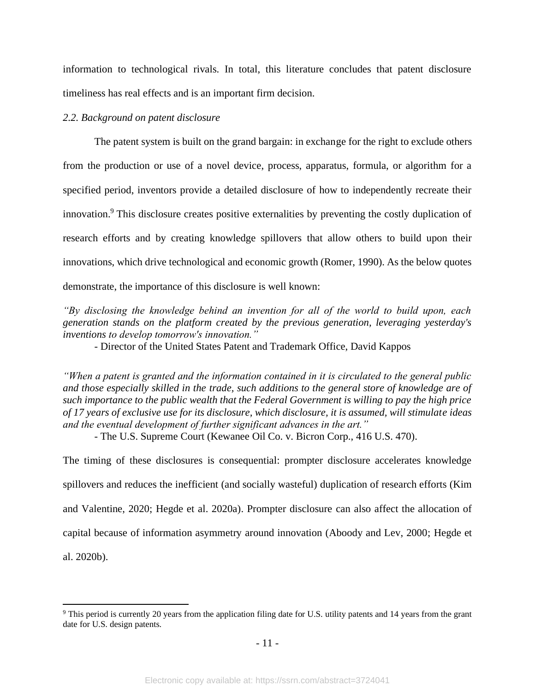information to technological rivals. In total, this literature concludes that patent disclosure timeliness has real effects and is an important firm decision.

#### *2.2. Background on patent disclosure*

The patent system is built on the grand bargain: in exchange for the right to exclude others from the production or use of a novel device, process, apparatus, formula, or algorithm for a specified period, inventors provide a detailed disclosure of how to independently recreate their innovation.<sup>9</sup> This disclosure creates positive externalities by preventing the costly duplication of research efforts and by creating knowledge spillovers that allow others to build upon their innovations, which drive technological and economic growth (Romer, 1990). As the below quotes demonstrate, the importance of this disclosure is well known:

*"By disclosing the knowledge behind an invention for all of the world to build upon, each generation stands on the platform created by the previous generation, leveraging yesterday's inventions to develop tomorrow's innovation."*

*-* Director of the United States Patent and Trademark Office, David Kappos

*"When a patent is granted and the information contained in it is circulated to the general public and those especially skilled in the trade, such additions to the general store of knowledge are of such importance to the public wealth that the Federal Government is willing to pay the high price of 17 years of exclusive use for its disclosure, which disclosure, it is assumed, will stimulate ideas and the eventual development of further significant advances in the art."*

- The U.S. Supreme Court (Kewanee Oil Co. v. Bicron Corp., 416 U.S. 470).

The timing of these disclosures is consequential: prompter disclosure accelerates knowledge spillovers and reduces the inefficient (and socially wasteful) duplication of research efforts (Kim and Valentine, 2020; Hegde et al. 2020a). Prompter disclosure can also affect the allocation of capital because of information asymmetry around innovation (Aboody and Lev, 2000; Hegde et al. 2020b).

<sup>&</sup>lt;sup>9</sup> This period is currently 20 years from the application filing date for U.S. utility patents and 14 years from the grant date for U.S. design patents.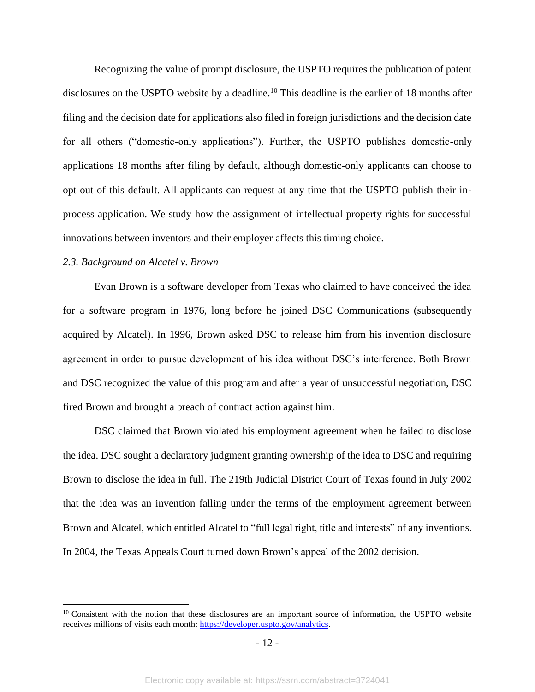Recognizing the value of prompt disclosure, the USPTO requires the publication of patent disclosures on the USPTO website by a deadline.<sup>10</sup> This deadline is the earlier of 18 months after filing and the decision date for applications also filed in foreign jurisdictions and the decision date for all others ("domestic-only applications"). Further, the USPTO publishes domestic-only applications 18 months after filing by default, although domestic-only applicants can choose to opt out of this default. All applicants can request at any time that the USPTO publish their inprocess application. We study how the assignment of intellectual property rights for successful innovations between inventors and their employer affects this timing choice.

### *2.3. Background on Alcatel v. Brown*

Evan Brown is a software developer from Texas who claimed to have conceived the idea for a software program in 1976, long before he joined DSC Communications (subsequently acquired by Alcatel). In 1996, Brown asked DSC to release him from his invention disclosure agreement in order to pursue development of his idea without DSC's interference. Both Brown and DSC recognized the value of this program and after a year of unsuccessful negotiation, DSC fired Brown and brought a breach of contract action against him.

DSC claimed that Brown violated his employment agreement when he failed to disclose the idea. DSC sought a declaratory judgment granting ownership of the idea to DSC and requiring Brown to disclose the idea in full. The 219th Judicial District Court of Texas found in July 2002 that the idea was an invention falling under the terms of the employment agreement between Brown and Alcatel, which entitled Alcatel to "full legal right, title and interests" of any inventions. In 2004, the Texas Appeals Court turned down Brown's appeal of the 2002 decision.

<sup>&</sup>lt;sup>10</sup> Consistent with the notion that these disclosures are an important source of information, the USPTO website receives millions of visits each month[: https://developer.uspto.gov/analytics.](https://developer.uspto.gov/analytics)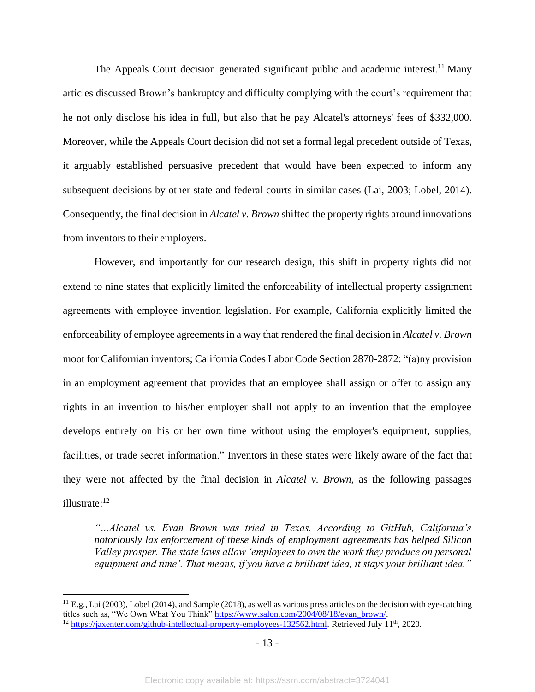The Appeals Court decision generated significant public and academic interest.<sup>11</sup> Many articles discussed Brown's bankruptcy and difficulty complying with the court's requirement that he not only disclose his idea in full, but also that he pay Alcatel's attorneys' fees of \$332,000. Moreover, while the Appeals Court decision did not set a formal legal precedent outside of Texas, it arguably established persuasive precedent that would have been expected to inform any subsequent decisions by other state and federal courts in similar cases (Lai, 2003; Lobel, 2014). Consequently, the final decision in *Alcatel v. Brown* shifted the property rights around innovations from inventors to their employers.

However, and importantly for our research design, this shift in property rights did not extend to nine states that explicitly limited the enforceability of intellectual property assignment agreements with employee invention legislation. For example, California explicitly limited the enforceability of employee agreements in a way that rendered the final decision in *Alcatel v. Brown* moot for Californian inventors; California Codes Labor Code Section 2870-2872: "(a)ny provision in an employment agreement that provides that an employee shall assign or offer to assign any rights in an invention to his/her employer shall not apply to an invention that the employee develops entirely on his or her own time without using the employer's equipment, supplies, facilities, or trade secret information." Inventors in these states were likely aware of the fact that they were not affected by the final decision in *Alcatel v. Brown*, as the following passages illustrate: 12

*"…Alcatel vs. Evan Brown was tried in Texas. According to GitHub, California's notoriously lax enforcement of these kinds of employment agreements has helped Silicon Valley prosper. The state laws allow 'employees to own the work they produce on personal equipment and time'. That means, if you have a brilliant idea, it stays your brilliant idea."*

 $11$  E.g., Lai (2003), Lobel (2014), and Sample (2018), as well as various press articles on the decision with eye-catching titles such as, "We Own What You Think[" https://www.salon.com/2004/08/18/evan\\_brown/.](https://www.salon.com/2004/08/18/evan_brown/)

<sup>&</sup>lt;sup>12</sup> [https://jaxenter.com/github-intellectual-property-employees-132562.html.](https://jaxenter.com/github-intellectual-property-employees-132562.html) Retrieved July 11<sup>th</sup>, 2020.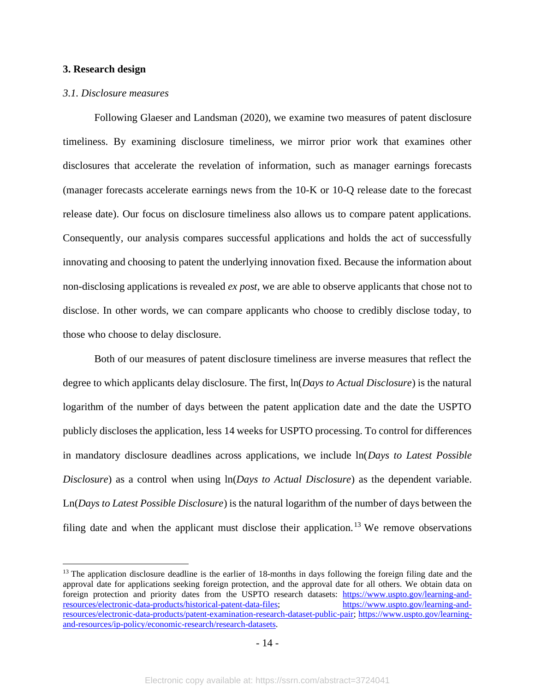#### **3. Research design**

#### *3.1. Disclosure measures*

Following Glaeser and Landsman (2020), we examine two measures of patent disclosure timeliness. By examining disclosure timeliness, we mirror prior work that examines other disclosures that accelerate the revelation of information, such as manager earnings forecasts (manager forecasts accelerate earnings news from the 10-K or 10-Q release date to the forecast release date). Our focus on disclosure timeliness also allows us to compare patent applications. Consequently, our analysis compares successful applications and holds the act of successfully innovating and choosing to patent the underlying innovation fixed. Because the information about non-disclosing applications is revealed *ex post*, we are able to observe applicants that chose not to disclose. In other words, we can compare applicants who choose to credibly disclose today, to those who choose to delay disclosure.

Both of our measures of patent disclosure timeliness are inverse measures that reflect the degree to which applicants delay disclosure. The first, ln(*Days to Actual Disclosure*) is the natural logarithm of the number of days between the patent application date and the date the USPTO publicly discloses the application, less 14 weeks for USPTO processing. To control for differences in mandatory disclosure deadlines across applications, we include ln(*Days to Latest Possible Disclosure*) as a control when using ln(*Days to Actual Disclosure*) as the dependent variable. Ln(*Days to Latest Possible Disclosure*) is the natural logarithm of the number of days between the filing date and when the applicant must disclose their application.<sup>13</sup> We remove observations

 $13$  The application disclosure deadline is the earlier of 18-months in days following the foreign filing date and the approval date for applications seeking foreign protection, and the approval date for all others. We obtain data on foreign protection and priority dates from the USPTO research datasets: [https://www.uspto.gov/learning-and](https://www.uspto.gov/learning-and-resources/electronic-data-products/historical-patent-data-files)[resources/electronic-data-products/historical-patent-data-files;](https://www.uspto.gov/learning-and-resources/electronic-data-products/historical-patent-data-files) [https://www.uspto.gov/learning-and](https://www.uspto.gov/learning-and-resources/electronic-data-products/patent-examination-research-dataset-public-pair)[resources/electronic-data-products/patent-examination-research-dataset-public-pair;](https://www.uspto.gov/learning-and-resources/electronic-data-products/patent-examination-research-dataset-public-pair) [https://www.uspto.gov/learning](https://www.uspto.gov/learning-and-resources/ip-policy/economic-research/research-datasets)[and-resources/ip-policy/economic-research/research-datasets.](https://www.uspto.gov/learning-and-resources/ip-policy/economic-research/research-datasets)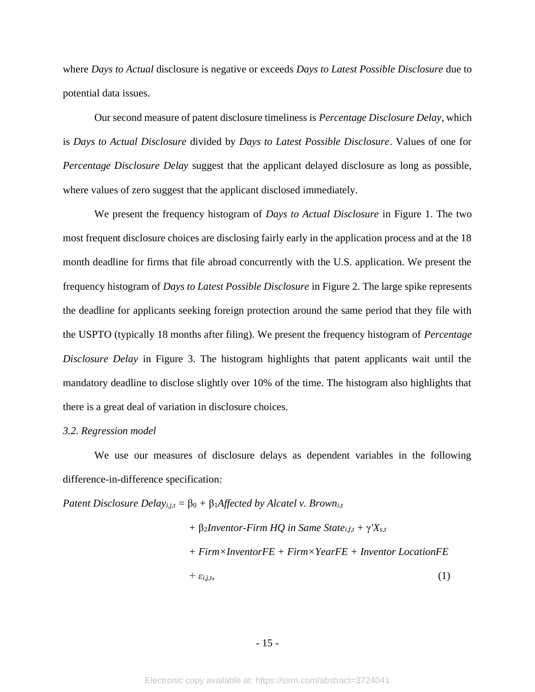where *Days to Actual* disclosure is negative or exceeds *Days to Latest Possible Disclosure* due to potential data issues.

Our second measure of patent disclosure timeliness is *Percentage Disclosure Delay*, which is *Days to Actual Disclosure* divided by *Days to Latest Possible Disclosure*. Values of one for *Percentage Disclosure Delay* suggest that the applicant delayed disclosure as long as possible, where values of zero suggest that the applicant disclosed immediately.

We present the frequency histogram of *Days to Actual Disclosure* in Figure 1. The two most frequent disclosure choices are disclosing fairly early in the application process and at the 18 month deadline for firms that file abroad concurrently with the U.S. application. We present the frequency histogram of *Days to Latest Possible Disclosure* in Figure 2. The large spike represents the deadline for applicants seeking foreign protection around the same period that they file with the USPTO (typically 18 months after filing). We present the frequency histogram of *Percentage Disclosure Delay* in Figure 3. The histogram highlights that patent applicants wait until the mandatory deadline to disclose slightly over 10% of the time. The histogram also highlights that there is a great deal of variation in disclosure choices.

#### *3.2. Regression model*

We use our measures of disclosure delays as dependent variables in the following difference-in-difference specification:

*Patent Disclosure Delay*<sub>*i,j,t*</sub> =  $\beta_0$  +  $\beta_1$ *Affected by Alcatel v. Brown*<sub>*i,t*</sub>

$$
+ \beta_2 Inventor-Firm HQ in Same Statei,f,t + \gamma'Xs,t
$$
  
+ *Firm×InventorFE + Firm×YearFE + Inventor LocationFE*  
+  $\varepsilon_{i,j,t}$ , (1)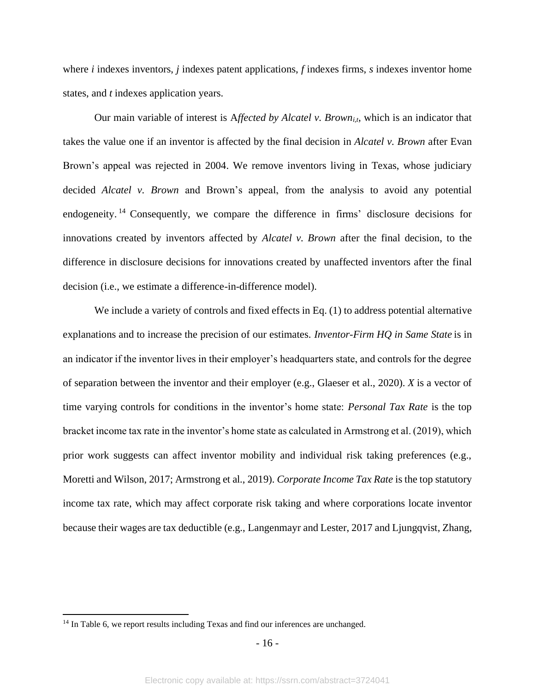where *i* indexes inventors, *j* indexes patent applications, *f* indexes firms, *s* indexes inventor home states, and *t* indexes application years.

Our main variable of interest is A*ffected by Alcatel v. Browni,t*, which is an indicator that takes the value one if an inventor is affected by the final decision in *Alcatel v. Brown* after Evan Brown's appeal was rejected in 2004. We remove inventors living in Texas, whose judiciary decided *Alcatel v. Brown* and Brown's appeal, from the analysis to avoid any potential endogeneity.<sup>14</sup> Consequently, we compare the difference in firms' disclosure decisions for innovations created by inventors affected by *Alcatel v. Brown* after the final decision, to the difference in disclosure decisions for innovations created by unaffected inventors after the final decision (i.e., we estimate a difference-in-difference model).

We include a variety of controls and fixed effects in Eq. (1) to address potential alternative explanations and to increase the precision of our estimates. *Inventor-Firm HQ in Same State* is in an indicator if the inventor lives in their employer's headquarters state, and controls for the degree of separation between the inventor and their employer (e.g., Glaeser et al., 2020). *X* is a vector of time varying controls for conditions in the inventor's home state: *Personal Tax Rate* is the top bracket income tax rate in the inventor's home state as calculated in Armstrong et al. (2019), which prior work suggests can affect inventor mobility and individual risk taking preferences (e.g., Moretti and Wilson, 2017; Armstrong et al., 2019). *Corporate Income Tax Rate* is the top statutory income tax rate, which may affect corporate risk taking and where corporations locate inventor because their wages are tax deductible (e.g., Langenmayr and Lester, 2017 and Ljungqvist, Zhang,

<sup>&</sup>lt;sup>14</sup> In Table 6, we report results including Texas and find our inferences are unchanged.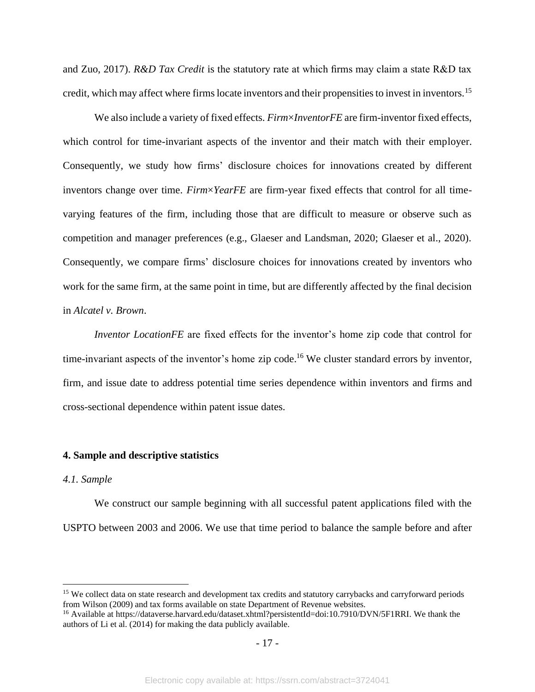and Zuo, 2017). *R&D Tax Credit* is the statutory rate at which firms may claim a state R&D tax credit, which may affect where firms locate inventors and their propensities to invest in inventors.<sup>15</sup>

We also include a variety of fixed effects. *Firm*×*InventorFE* are firm-inventor fixed effects, which control for time-invariant aspects of the inventor and their match with their employer. Consequently, we study how firms' disclosure choices for innovations created by different inventors change over time. *Firm*×*YearFE* are firm-year fixed effects that control for all timevarying features of the firm, including those that are difficult to measure or observe such as competition and manager preferences (e.g., Glaeser and Landsman, 2020; Glaeser et al., 2020). Consequently, we compare firms' disclosure choices for innovations created by inventors who work for the same firm, at the same point in time, but are differently affected by the final decision in *Alcatel v. Brown*.

*Inventor LocationFE* are fixed effects for the inventor's home zip code that control for time-invariant aspects of the inventor's home zip code.<sup>16</sup> We cluster standard errors by inventor, firm, and issue date to address potential time series dependence within inventors and firms and cross-sectional dependence within patent issue dates.

# **4. Sample and descriptive statistics**

#### *4.1. Sample*

We construct our sample beginning with all successful patent applications filed with the USPTO between 2003 and 2006. We use that time period to balance the sample before and after

<sup>&</sup>lt;sup>15</sup> We collect data on state research and development tax credits and statutory carrybacks and carryforward periods from Wilson (2009) and tax forms available on state Department of Revenue websites.

<sup>&</sup>lt;sup>16</sup> Available at https://dataverse.harvard.edu/dataset.xhtml?persistentId=doi:10.7910/DVN/5F1RRI. We thank the authors of Li et al. (2014) for making the data publicly available.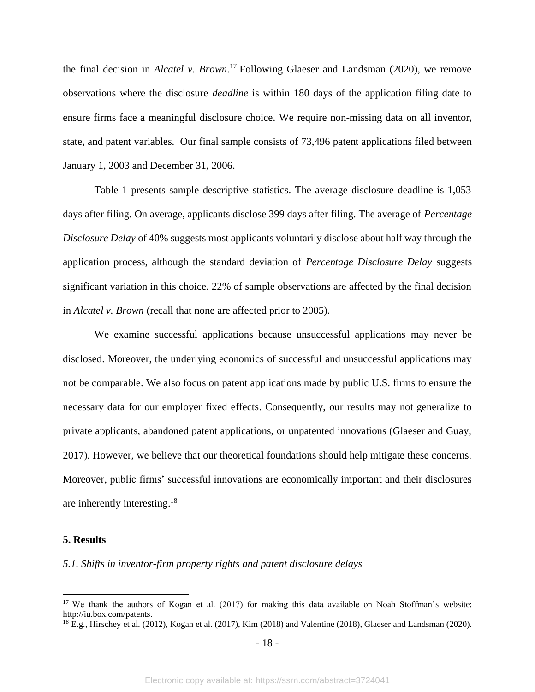the final decision in *Alcatel v. Brown*. <sup>17</sup> Following Glaeser and Landsman (2020), we remove observations where the disclosure *deadline* is within 180 days of the application filing date to ensure firms face a meaningful disclosure choice. We require non-missing data on all inventor, state, and patent variables. Our final sample consists of 73,496 patent applications filed between January 1, 2003 and December 31, 2006.

Table 1 presents sample descriptive statistics. The average disclosure deadline is 1,053 days after filing. On average, applicants disclose 399 days after filing. The average of *Percentage Disclosure Delay* of 40% suggests most applicants voluntarily disclose about half way through the application process, although the standard deviation of *Percentage Disclosure Delay* suggests significant variation in this choice. 22% of sample observations are affected by the final decision in *Alcatel v. Brown* (recall that none are affected prior to 2005).

We examine successful applications because unsuccessful applications may never be disclosed. Moreover, the underlying economics of successful and unsuccessful applications may not be comparable. We also focus on patent applications made by public U.S. firms to ensure the necessary data for our employer fixed effects. Consequently, our results may not generalize to private applicants, abandoned patent applications, or unpatented innovations (Glaeser and Guay, 2017). However, we believe that our theoretical foundations should help mitigate these concerns. Moreover, public firms' successful innovations are economically important and their disclosures are inherently interesting. 18

## **5. Results**

*5.1. Shifts in inventor-firm property rights and patent disclosure delays*

- 18 -

<sup>&</sup>lt;sup>17</sup> We thank the authors of Kogan et al. (2017) for making this data available on Noah Stoffman's website: http://iu.box.com/patents.

 $^{18}$  E.g., Hirschey et al. (2012), Kogan et al. (2017), Kim (2018) and Valentine (2018), Glaeser and Landsman (2020).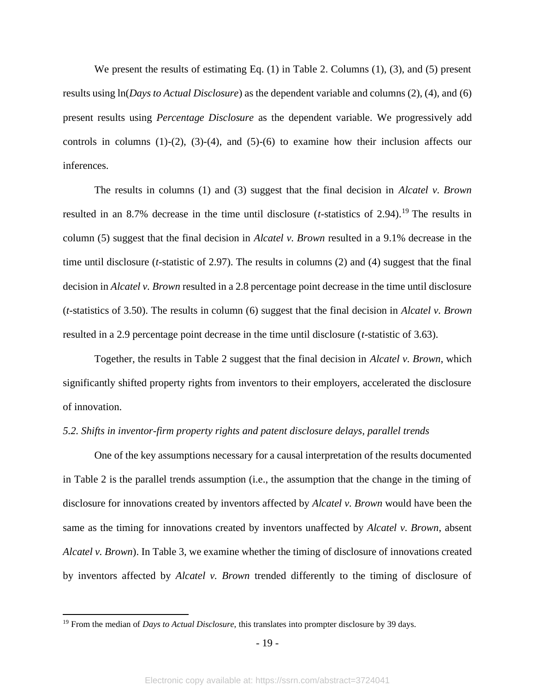We present the results of estimating Eq. (1) in Table 2. Columns (1), (3), and (5) present results using ln(*Days to Actual Disclosure*) as the dependent variable and columns (2), (4), and (6) present results using *Percentage Disclosure* as the dependent variable. We progressively add controls in columns  $(1)-(2)$ ,  $(3)-(4)$ , and  $(5)-(6)$  to examine how their inclusion affects our inferences.

The results in columns (1) and (3) suggest that the final decision in *Alcatel v. Brown*  resulted in an 8.7% decrease in the time until disclosure  $(t$ -statistics of 2.94).<sup>19</sup> The results in column (5) suggest that the final decision in *Alcatel v. Brown* resulted in a 9.1% decrease in the time until disclosure (*t*-statistic of 2.97). The results in columns (2) and (4) suggest that the final decision in *Alcatel v. Brown* resulted in a 2.8 percentage point decrease in the time until disclosure (*t*-statistics of 3.50). The results in column (6) suggest that the final decision in *Alcatel v. Brown*  resulted in a 2.9 percentage point decrease in the time until disclosure (*t*-statistic of 3.63).

Together, the results in Table 2 suggest that the final decision in *Alcatel v. Brown*, which significantly shifted property rights from inventors to their employers, accelerated the disclosure of innovation.

#### *5.2. Shifts in inventor-firm property rights and patent disclosure delays, parallel trends*

One of the key assumptions necessary for a causal interpretation of the results documented in Table 2 is the parallel trends assumption (i.e., the assumption that the change in the timing of disclosure for innovations created by inventors affected by *Alcatel v. Brown* would have been the same as the timing for innovations created by inventors unaffected by *Alcatel v. Brown*, absent *Alcatel v. Brown*). In Table 3, we examine whether the timing of disclosure of innovations created by inventors affected by *Alcatel v. Brown* trended differently to the timing of disclosure of

<sup>19</sup> From the median of *Days to Actual Disclosure*, this translates into prompter disclosure by 39 days.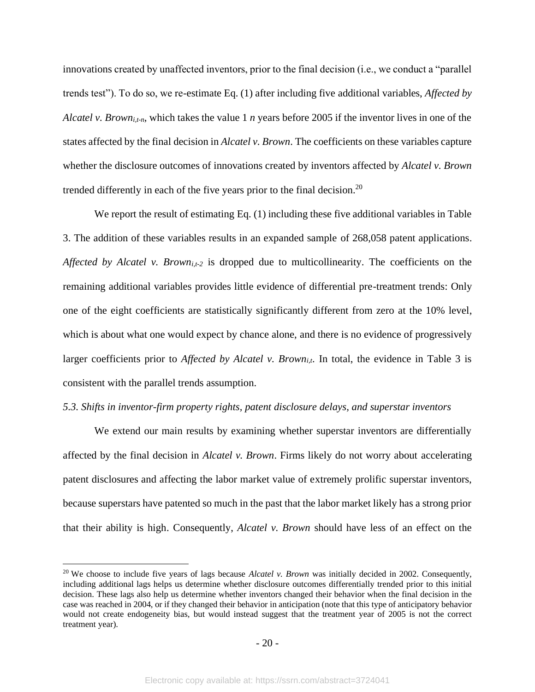innovations created by unaffected inventors, prior to the final decision (i.e., we conduct a "parallel trends test"). To do so, we re-estimate Eq. (1) after including five additional variables, *Affected by Alcatel v. Browni,t-n*, which takes the value 1 *n* years before 2005 if the inventor lives in one of the states affected by the final decision in *Alcatel v. Brown*. The coefficients on these variables capture whether the disclosure outcomes of innovations created by inventors affected by *Alcatel v. Brown* trended differently in each of the five years prior to the final decision.<sup>20</sup>

We report the result of estimating Eq. (1) including these five additional variables in Table 3. The addition of these variables results in an expanded sample of 268,058 patent applications. *Affected by Alcatel v. Browni,t-2* is dropped due to multicollinearity. The coefficients on the remaining additional variables provides little evidence of differential pre-treatment trends: Only one of the eight coefficients are statistically significantly different from zero at the 10% level, which is about what one would expect by chance alone, and there is no evidence of progressively larger coefficients prior to *Affected by Alcatel v. Browni,t*. In total, the evidence in Table 3 is consistent with the parallel trends assumption.

#### *5.3. Shifts in inventor-firm property rights, patent disclosure delays, and superstar inventors*

We extend our main results by examining whether superstar inventors are differentially affected by the final decision in *Alcatel v. Brown*. Firms likely do not worry about accelerating patent disclosures and affecting the labor market value of extremely prolific superstar inventors, because superstars have patented so much in the past that the labor market likely has a strong prior that their ability is high. Consequently, *Alcatel v. Brown* should have less of an effect on the

<sup>&</sup>lt;sup>20</sup> We choose to include five years of lags because *Alcatel v. Brown* was initially decided in 2002. Consequently, including additional lags helps us determine whether disclosure outcomes differentially trended prior to this initial decision. These lags also help us determine whether inventors changed their behavior when the final decision in the case was reached in 2004, or if they changed their behavior in anticipation (note that this type of anticipatory behavior would not create endogeneity bias, but would instead suggest that the treatment year of 2005 is not the correct treatment year).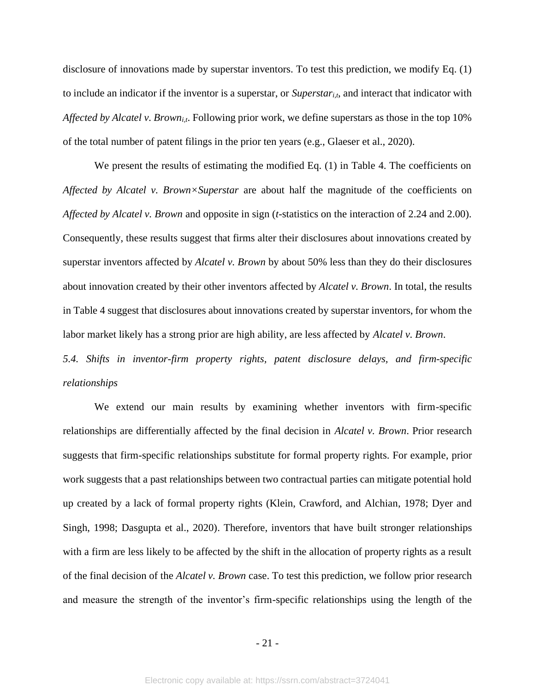disclosure of innovations made by superstar inventors. To test this prediction, we modify Eq. (1) to include an indicator if the inventor is a superstar, or *Superstari,t*, and interact that indicator with *Affected by Alcatel v. Browni,t*. Following prior work, we define superstars as those in the top 10% of the total number of patent filings in the prior ten years (e.g., Glaeser et al., 2020).

We present the results of estimating the modified Eq. (1) in Table 4. The coefficients on *Affected by Alcatel v. Brown×Superstar* are about half the magnitude of the coefficients on *Affected by Alcatel v. Brown* and opposite in sign (*t*-statistics on the interaction of 2.24 and 2.00). Consequently, these results suggest that firms alter their disclosures about innovations created by superstar inventors affected by *Alcatel v. Brown* by about 50% less than they do their disclosures about innovation created by their other inventors affected by *Alcatel v. Brown*. In total, the results in Table 4 suggest that disclosures about innovations created by superstar inventors, for whom the labor market likely has a strong prior are high ability, are less affected by *Alcatel v. Brown*.

*5.4. Shifts in inventor-firm property rights, patent disclosure delays, and firm-specific relationships*

We extend our main results by examining whether inventors with firm-specific relationships are differentially affected by the final decision in *Alcatel v. Brown*. Prior research suggests that firm-specific relationships substitute for formal property rights. For example, prior work suggests that a past relationships between two contractual parties can mitigate potential hold up created by a lack of formal property rights (Klein, Crawford, and Alchian, 1978; Dyer and Singh, 1998; Dasgupta et al., 2020). Therefore, inventors that have built stronger relationships with a firm are less likely to be affected by the shift in the allocation of property rights as a result of the final decision of the *Alcatel v. Brown* case. To test this prediction, we follow prior research and measure the strength of the inventor's firm-specific relationships using the length of the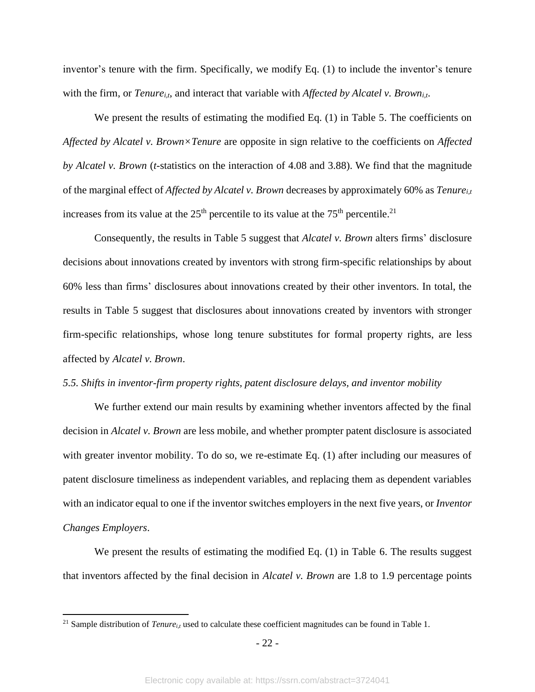inventor's tenure with the firm. Specifically, we modify Eq. (1) to include the inventor's tenure with the firm, or *Tenure*<sub>*i,t*</sub>, and interact that variable with *Affected by Alcatel v. Brown*<sub>*i,t*</sub>.

We present the results of estimating the modified Eq. (1) in Table 5. The coefficients on *Affected by Alcatel v. Brown×Tenure* are opposite in sign relative to the coefficients on *Affected by Alcatel v. Brown* (*t*-statistics on the interaction of 4.08 and 3.88). We find that the magnitude of the marginal effect of *Affected by Alcatel v. Brown* decreases by approximately 60% as *Tenurei,t* increases from its value at the  $25<sup>th</sup>$  percentile to its value at the  $75<sup>th</sup>$  percentile.<sup>21</sup>

Consequently, the results in Table 5 suggest that *Alcatel v. Brown* alters firms' disclosure decisions about innovations created by inventors with strong firm-specific relationships by about 60% less than firms' disclosures about innovations created by their other inventors. In total, the results in Table 5 suggest that disclosures about innovations created by inventors with stronger firm-specific relationships, whose long tenure substitutes for formal property rights, are less affected by *Alcatel v. Brown*.

#### *5.5. Shifts in inventor-firm property rights, patent disclosure delays, and inventor mobility*

We further extend our main results by examining whether inventors affected by the final decision in *Alcatel v. Brown* are less mobile, and whether prompter patent disclosure is associated with greater inventor mobility. To do so, we re-estimate Eq. (1) after including our measures of patent disclosure timeliness as independent variables, and replacing them as dependent variables with an indicator equal to one if the inventor switches employers in the next five years, or *Inventor Changes Employers*.

We present the results of estimating the modified Eq. (1) in Table 6. The results suggest that inventors affected by the final decision in *Alcatel v. Brown* are 1.8 to 1.9 percentage points

<sup>&</sup>lt;sup>21</sup> Sample distribution of *Tenure*<sub>*it*</sub> used to calculate these coefficient magnitudes can be found in Table 1.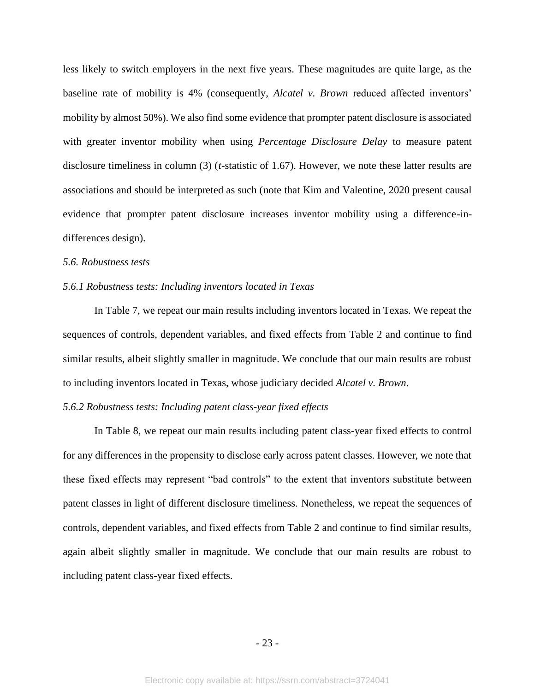less likely to switch employers in the next five years. These magnitudes are quite large, as the baseline rate of mobility is 4% (consequently, *Alcatel v. Brown* reduced affected inventors' mobility by almost 50%). We also find some evidence that prompter patent disclosure is associated with greater inventor mobility when using *Percentage Disclosure Delay* to measure patent disclosure timeliness in column (3) (*t*-statistic of 1.67). However, we note these latter results are associations and should be interpreted as such (note that Kim and Valentine, 2020 present causal evidence that prompter patent disclosure increases inventor mobility using a difference-indifferences design).

# *5.6. Robustness tests*

#### *5.6.1 Robustness tests: Including inventors located in Texas*

In Table 7, we repeat our main results including inventors located in Texas. We repeat the sequences of controls, dependent variables, and fixed effects from Table 2 and continue to find similar results, albeit slightly smaller in magnitude. We conclude that our main results are robust to including inventors located in Texas, whose judiciary decided *Alcatel v. Brown*.

## *5.6.2 Robustness tests: Including patent class-year fixed effects*

In Table 8, we repeat our main results including patent class-year fixed effects to control for any differences in the propensity to disclose early across patent classes. However, we note that these fixed effects may represent "bad controls" to the extent that inventors substitute between patent classes in light of different disclosure timeliness. Nonetheless, we repeat the sequences of controls, dependent variables, and fixed effects from Table 2 and continue to find similar results, again albeit slightly smaller in magnitude. We conclude that our main results are robust to including patent class-year fixed effects.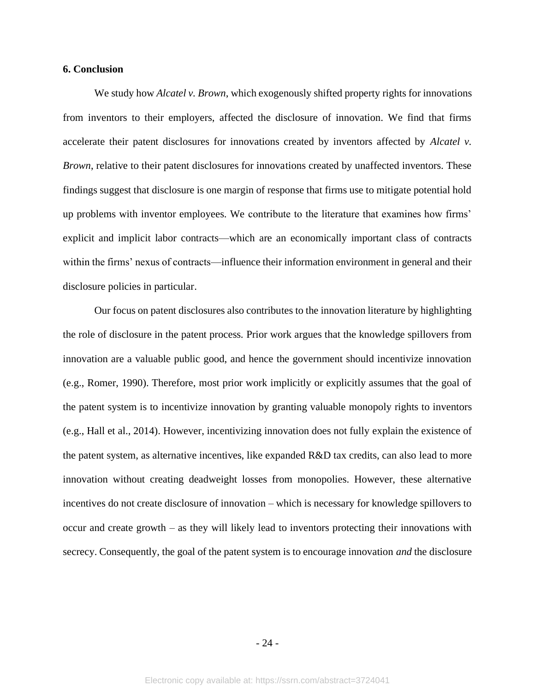# **6. Conclusion**

We study how *Alcatel v. Brown*, which exogenously shifted property rights for innovations from inventors to their employers, affected the disclosure of innovation. We find that firms accelerate their patent disclosures for innovations created by inventors affected by *Alcatel v. Brown*, relative to their patent disclosures for innovations created by unaffected inventors. These findings suggest that disclosure is one margin of response that firms use to mitigate potential hold up problems with inventor employees. We contribute to the literature that examines how firms' explicit and implicit labor contracts—which are an economically important class of contracts within the firms' nexus of contracts—influence their information environment in general and their disclosure policies in particular.

Our focus on patent disclosures also contributes to the innovation literature by highlighting the role of disclosure in the patent process. Prior work argues that the knowledge spillovers from innovation are a valuable public good, and hence the government should incentivize innovation (e.g., Romer, 1990). Therefore, most prior work implicitly or explicitly assumes that the goal of the patent system is to incentivize innovation by granting valuable monopoly rights to inventors (e.g., Hall et al., 2014). However, incentivizing innovation does not fully explain the existence of the patent system, as alternative incentives, like expanded R&D tax credits, can also lead to more innovation without creating deadweight losses from monopolies. However, these alternative incentives do not create disclosure of innovation – which is necessary for knowledge spillovers to occur and create growth – as they will likely lead to inventors protecting their innovations with secrecy. Consequently, the goal of the patent system is to encourage innovation *and* the disclosure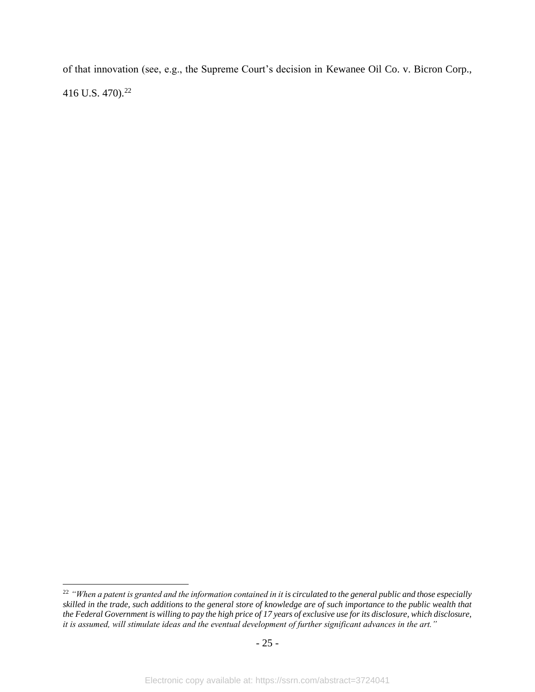of that innovation (see, e.g., the Supreme Court's decision in Kewanee Oil Co. v. Bicron Corp., 416 U.S. 470).<sup>22</sup>

<sup>&</sup>lt;sup>22</sup> "When a patent is granted and the information contained in it is circulated to the general public and those especially *skilled in the trade, such additions to the general store of knowledge are of such importance to the public wealth that the Federal Government is willing to pay the high price of 17 years of exclusive use for its disclosure, which disclosure, it is assumed, will stimulate ideas and the eventual development of further significant advances in the art."*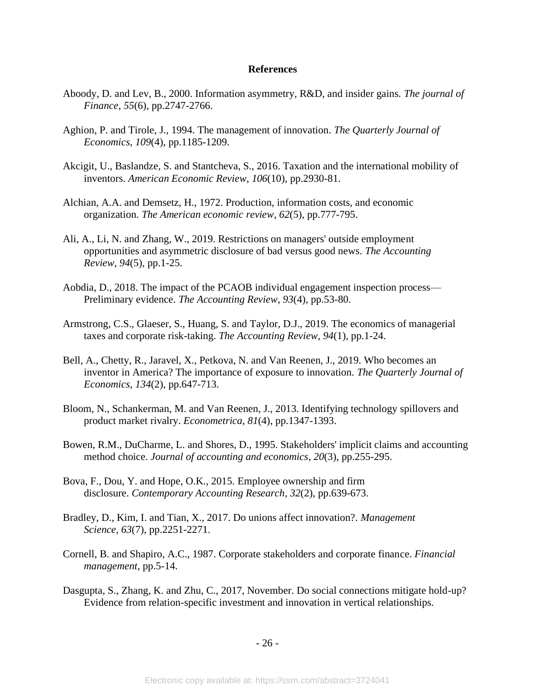## **References**

- Aboody, D. and Lev, B., 2000. Information asymmetry, R&D, and insider gains. *The journal of Finance*, *55*(6), pp.2747-2766.
- Aghion, P. and Tirole, J., 1994. The management of innovation. *The Quarterly Journal of Economics*, *109*(4), pp.1185-1209.
- Akcigit, U., Baslandze, S. and Stantcheva, S., 2016. Taxation and the international mobility of inventors. *American Economic Review*, *106*(10), pp.2930-81.
- Alchian, A.A. and Demsetz, H., 1972. Production, information costs, and economic organization. *The American economic review*, *62*(5), pp.777-795.
- Ali, A., Li, N. and Zhang, W., 2019. Restrictions on managers' outside employment opportunities and asymmetric disclosure of bad versus good news. *The Accounting Review*, *94*(5), pp.1-25.
- Aobdia, D., 2018. The impact of the PCAOB individual engagement inspection process— Preliminary evidence. *The Accounting Review*, *93*(4), pp.53-80.
- Armstrong, C.S., Glaeser, S., Huang, S. and Taylor, D.J., 2019. The economics of managerial taxes and corporate risk-taking. *The Accounting Review*, *94*(1), pp.1-24.
- Bell, A., Chetty, R., Jaravel, X., Petkova, N. and Van Reenen, J., 2019. Who becomes an inventor in America? The importance of exposure to innovation. *The Quarterly Journal of Economics*, *134*(2), pp.647-713.
- Bloom, N., Schankerman, M. and Van Reenen, J., 2013. Identifying technology spillovers and product market rivalry. *Econometrica*, *81*(4), pp.1347-1393.
- Bowen, R.M., DuCharme, L. and Shores, D., 1995. Stakeholders' implicit claims and accounting method choice. *Journal of accounting and economics*, *20*(3), pp.255-295.
- Bova, F., Dou, Y. and Hope, O.K., 2015. Employee ownership and firm disclosure. *Contemporary Accounting Research*, *32*(2), pp.639-673.
- Bradley, D., Kim, I. and Tian, X., 2017. Do unions affect innovation?. *Management Science*, *63*(7), pp.2251-2271.
- Cornell, B. and Shapiro, A.C., 1987. Corporate stakeholders and corporate finance. *Financial management*, pp.5-14.
- Dasgupta, S., Zhang, K. and Zhu, C., 2017, November. Do social connections mitigate hold-up? Evidence from relation-specific investment and innovation in vertical relationships.

- 26 -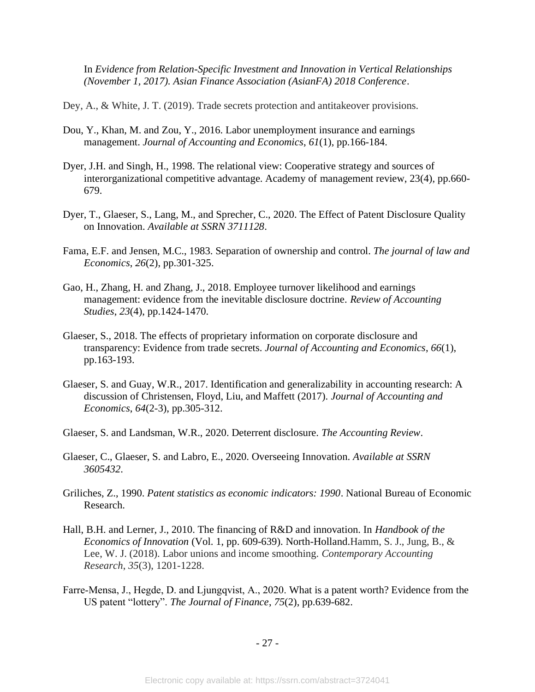In *Evidence from Relation-Specific Investment and Innovation in Vertical Relationships (November 1, 2017). Asian Finance Association (AsianFA) 2018 Conference*.

Dey, A., & White, J. T. (2019). Trade secrets protection and antitakeover provisions.

- Dou, Y., Khan, M. and Zou, Y., 2016. Labor unemployment insurance and earnings management. *Journal of Accounting and Economics*, *61*(1), pp.166-184.
- Dyer, J.H. and Singh, H., 1998. The relational view: Cooperative strategy and sources of interorganizational competitive advantage. Academy of management review, 23(4), pp.660- 679.
- Dyer, T., Glaeser, S., Lang, M., and Sprecher, C., 2020. The Effect of Patent Disclosure Quality on Innovation. *Available at SSRN 3711128*.
- Fama, E.F. and Jensen, M.C., 1983. Separation of ownership and control. *The journal of law and Economics*, *26*(2), pp.301-325.
- Gao, H., Zhang, H. and Zhang, J., 2018. Employee turnover likelihood and earnings management: evidence from the inevitable disclosure doctrine. *Review of Accounting Studies*, *23*(4), pp.1424-1470.
- Glaeser, S., 2018. The effects of proprietary information on corporate disclosure and transparency: Evidence from trade secrets. *Journal of Accounting and Economics*, *66*(1), pp.163-193.
- Glaeser, S. and Guay, W.R., 2017. Identification and generalizability in accounting research: A discussion of Christensen, Floyd, Liu, and Maffett (2017). *Journal of Accounting and Economics*, *64*(2-3), pp.305-312.
- Glaeser, S. and Landsman, W.R., 2020. Deterrent disclosure. *The Accounting Review*.
- Glaeser, C., Glaeser, S. and Labro, E., 2020. Overseeing Innovation. *Available at SSRN 3605432*.
- Griliches, Z., 1990. *Patent statistics as economic indicators: 1990*. National Bureau of Economic Research.
- Hall, B.H. and Lerner, J., 2010. The financing of R&D and innovation. In *Handbook of the Economics of Innovation* (Vol. 1, pp. 609-639). North-Holland.Hamm, S. J., Jung, B., & Lee, W. J. (2018). Labor unions and income smoothing. *Contemporary Accounting Research*, *35*(3), 1201-1228.
- Farre‐Mensa, J., Hegde, D. and Ljungqvist, A., 2020. What is a patent worth? Evidence from the US patent "lottery". *The Journal of Finance*, *75*(2), pp.639-682.

- 27 -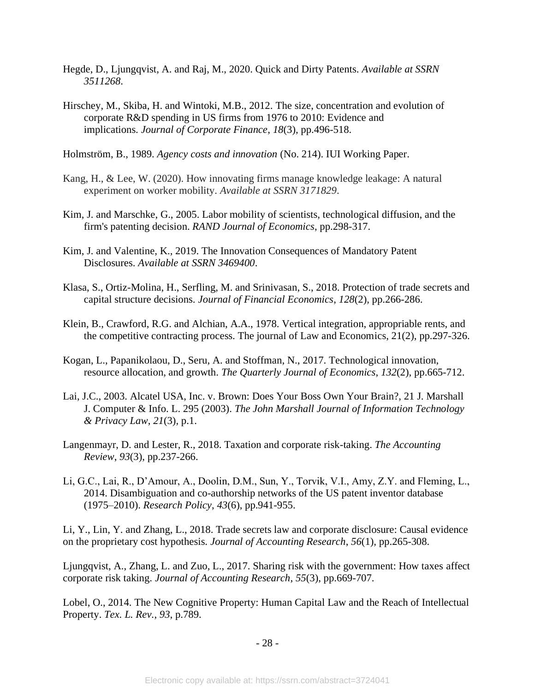- Hegde, D., Ljungqvist, A. and Raj, M., 2020. Quick and Dirty Patents. *Available at SSRN 3511268*.
- Hirschey, M., Skiba, H. and Wintoki, M.B., 2012. The size, concentration and evolution of corporate R&D spending in US firms from 1976 to 2010: Evidence and implications. *Journal of Corporate Finance*, *18*(3), pp.496-518.

Holmström, B., 1989. *Agency costs and innovation* (No. 214). IUI Working Paper.

- Kang, H., & Lee, W. (2020). How innovating firms manage knowledge leakage: A natural experiment on worker mobility. *Available at SSRN 3171829*.
- Kim, J. and Marschke, G., 2005. Labor mobility of scientists, technological diffusion, and the firm's patenting decision. *RAND Journal of Economics*, pp.298-317.
- Kim, J. and Valentine, K., 2019. The Innovation Consequences of Mandatory Patent Disclosures. *Available at SSRN 3469400*.
- Klasa, S., Ortiz-Molina, H., Serfling, M. and Srinivasan, S., 2018. Protection of trade secrets and capital structure decisions. *Journal of Financial Economics*, *128*(2), pp.266-286.
- Klein, B., Crawford, R.G. and Alchian, A.A., 1978. Vertical integration, appropriable rents, and the competitive contracting process. The journal of Law and Economics, 21(2), pp.297-326.
- Kogan, L., Papanikolaou, D., Seru, A. and Stoffman, N., 2017. Technological innovation, resource allocation, and growth. *The Quarterly Journal of Economics*, *132*(2), pp.665-712.
- Lai, J.C., 2003. Alcatel USA, Inc. v. Brown: Does Your Boss Own Your Brain?, 21 J. Marshall J. Computer & Info. L. 295 (2003). *The John Marshall Journal of Information Technology & Privacy Law*, *21*(3), p.1.
- Langenmayr, D. and Lester, R., 2018. Taxation and corporate risk-taking. *The Accounting Review*, *93*(3), pp.237-266.
- Li, G.C., Lai, R., D'Amour, A., Doolin, D.M., Sun, Y., Torvik, V.I., Amy, Z.Y. and Fleming, L., 2014. Disambiguation and co-authorship networks of the US patent inventor database (1975–2010). *Research Policy*, *43*(6), pp.941-955.

Li, Y., Lin, Y. and Zhang, L., 2018. Trade secrets law and corporate disclosure: Causal evidence on the proprietary cost hypothesis. *Journal of Accounting Research*, *56*(1), pp.265-308.

Ljungqvist, A., Zhang, L. and Zuo, L., 2017. Sharing risk with the government: How taxes affect corporate risk taking. *Journal of Accounting Research*, *55*(3), pp.669-707.

Lobel, O., 2014. The New Cognitive Property: Human Capital Law and the Reach of Intellectual Property. *Tex. L. Rev.*, *93*, p.789.

- 28 -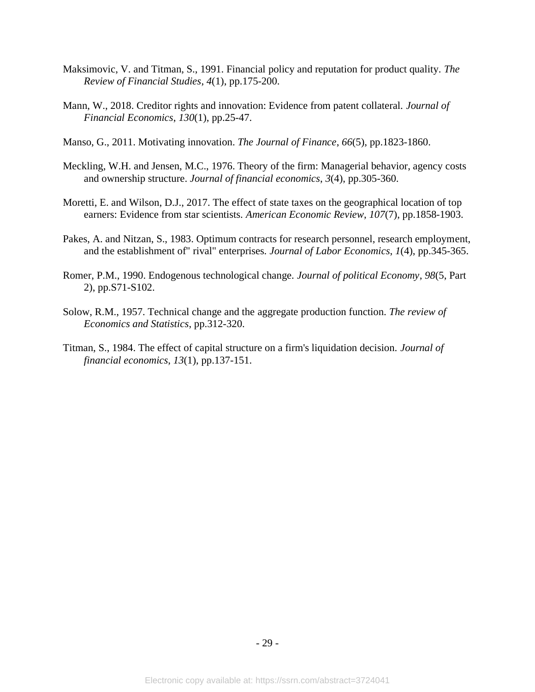- Maksimovic, V. and Titman, S., 1991. Financial policy and reputation for product quality. *The Review of Financial Studies*, *4*(1), pp.175-200.
- Mann, W., 2018. Creditor rights and innovation: Evidence from patent collateral. *Journal of Financial Economics*, *130*(1), pp.25-47.
- Manso, G., 2011. Motivating innovation. *The Journal of Finance*, *66*(5), pp.1823-1860.
- Meckling, W.H. and Jensen, M.C., 1976. Theory of the firm: Managerial behavior, agency costs and ownership structure. *Journal of financial economics*, *3*(4), pp.305-360.
- Moretti, E. and Wilson, D.J., 2017. The effect of state taxes on the geographical location of top earners: Evidence from star scientists. *American Economic Review*, *107*(7), pp.1858-1903.
- Pakes, A. and Nitzan, S., 1983. Optimum contracts for research personnel, research employment, and the establishment of" rival" enterprises. *Journal of Labor Economics*, *1*(4), pp.345-365.
- Romer, P.M., 1990. Endogenous technological change. *Journal of political Economy*, *98*(5, Part 2), pp.S71-S102.
- Solow, R.M., 1957. Technical change and the aggregate production function. *The review of Economics and Statistics*, pp.312-320.
- Titman, S., 1984. The effect of capital structure on a firm's liquidation decision. *Journal of financial economics*, *13*(1), pp.137-151.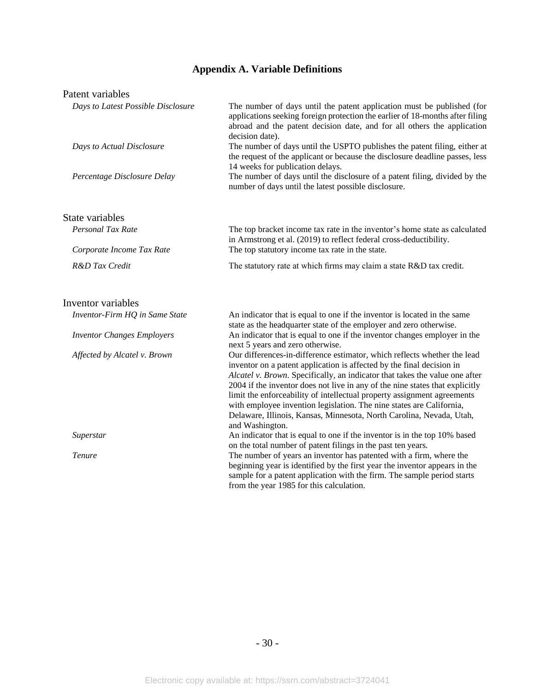# **Appendix A. Variable Definitions**

# Patent variables

| Days to Latest Possible Disclosure | The number of days until the patent application must be published (for<br>applications seeking foreign protection the earlier of 18-months after filing<br>abroad and the patent decision date, and for all others the application<br>decision date).                                                                                                                                                                                                                                                                                                          |
|------------------------------------|----------------------------------------------------------------------------------------------------------------------------------------------------------------------------------------------------------------------------------------------------------------------------------------------------------------------------------------------------------------------------------------------------------------------------------------------------------------------------------------------------------------------------------------------------------------|
| Days to Actual Disclosure          | The number of days until the USPTO publishes the patent filing, either at<br>the request of the applicant or because the disclosure deadline passes, less<br>14 weeks for publication delays.                                                                                                                                                                                                                                                                                                                                                                  |
| Percentage Disclosure Delay        | The number of days until the disclosure of a patent filing, divided by the<br>number of days until the latest possible disclosure.                                                                                                                                                                                                                                                                                                                                                                                                                             |
| State variables                    |                                                                                                                                                                                                                                                                                                                                                                                                                                                                                                                                                                |
| Personal Tax Rate                  | The top bracket income tax rate in the inventor's home state as calculated<br>in Armstrong et al. (2019) to reflect federal cross-deductibility.                                                                                                                                                                                                                                                                                                                                                                                                               |
| Corporate Income Tax Rate          | The top statutory income tax rate in the state.                                                                                                                                                                                                                                                                                                                                                                                                                                                                                                                |
| R&D Tax Credit                     | The statutory rate at which firms may claim a state R&D tax credit.                                                                                                                                                                                                                                                                                                                                                                                                                                                                                            |
| Inventor variables                 |                                                                                                                                                                                                                                                                                                                                                                                                                                                                                                                                                                |
| Inventor-Firm HQ in Same State     | An indicator that is equal to one if the inventor is located in the same<br>state as the headquarter state of the employer and zero otherwise.                                                                                                                                                                                                                                                                                                                                                                                                                 |
| <b>Inventor Changes Employers</b>  | An indicator that is equal to one if the inventor changes employer in the<br>next 5 years and zero otherwise.                                                                                                                                                                                                                                                                                                                                                                                                                                                  |
| Affected by Alcatel v. Brown       | Our differences-in-difference estimator, which reflects whether the lead<br>inventor on a patent application is affected by the final decision in<br>Alcatel v. Brown. Specifically, an indicator that takes the value one after<br>2004 if the inventor does not live in any of the nine states that explicitly<br>limit the enforceability of intellectual property assignment agreements<br>with employee invention legislation. The nine states are California,<br>Delaware, Illinois, Kansas, Minnesota, North Carolina, Nevada, Utah,<br>and Washington. |
| Superstar                          | An indicator that is equal to one if the inventor is in the top 10% based<br>on the total number of patent filings in the past ten years.                                                                                                                                                                                                                                                                                                                                                                                                                      |
| Tenure                             | The number of years an inventor has patented with a firm, where the<br>beginning year is identified by the first year the inventor appears in the<br>sample for a patent application with the firm. The sample period starts<br>from the year 1985 for this calculation.                                                                                                                                                                                                                                                                                       |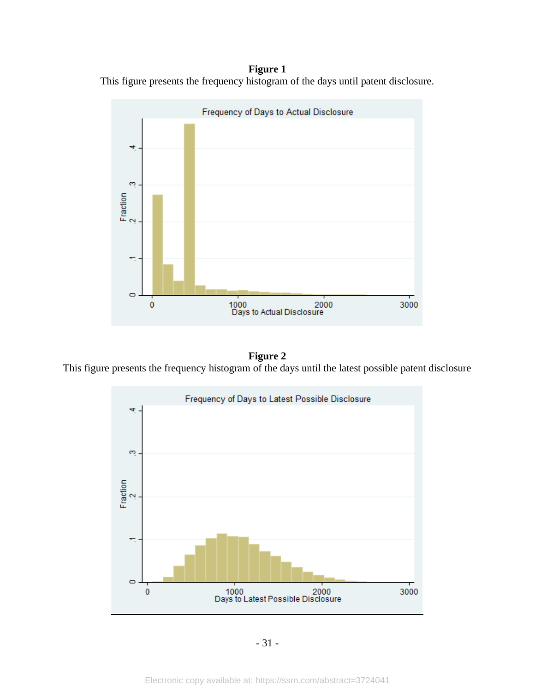**Figure 1** This figure presents the frequency histogram of the days until patent disclosure.



**Figure 2** This figure presents the frequency histogram of the days until the latest possible patent disclosure



- 31 -

Electronic copy available at: https://ssrn.com/abstract=3724041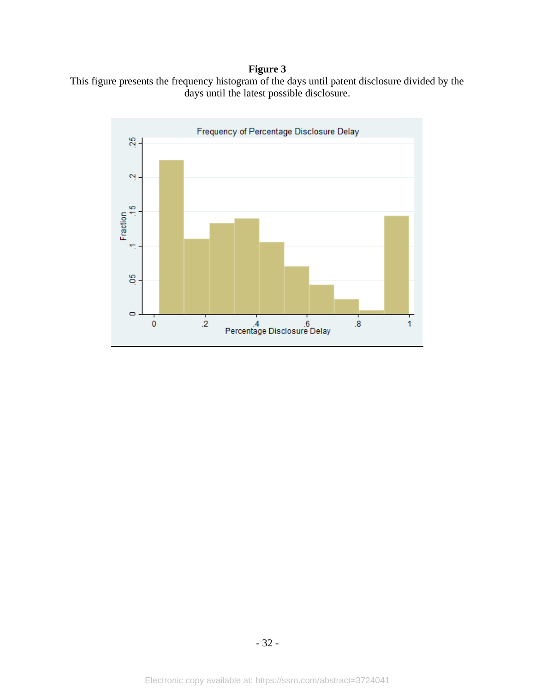# **Figure 3**



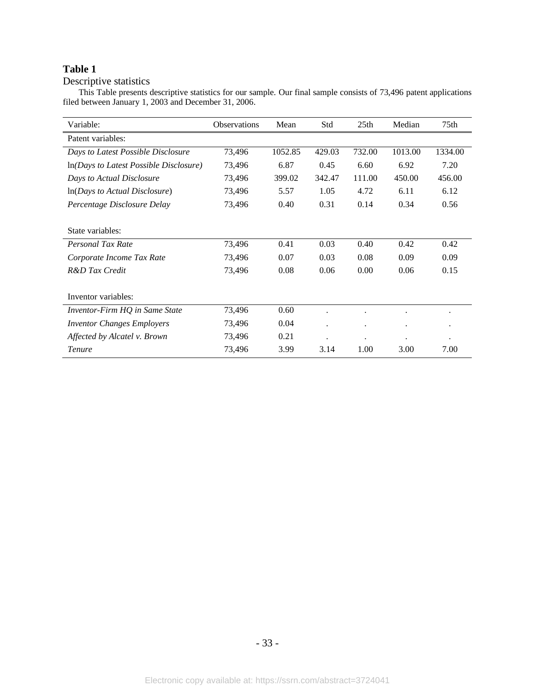# Descriptive statistics

This Table presents descriptive statistics for our sample. Our final sample consists of 73,496 patent applications filed between January 1, 2003 and December 31, 2006.

| Variable:                                  | <b>Observations</b> | Mean    | Std                  | 25 <sub>th</sub>     | Median    | 75th                 |
|--------------------------------------------|---------------------|---------|----------------------|----------------------|-----------|----------------------|
| Patent variables:                          |                     |         |                      |                      |           |                      |
| Days to Latest Possible Disclosure         | 73,496              | 1052.85 | 429.03               | 732.00               | 1013.00   | 1334.00              |
| $ln(Days\ to\ Last\ Possible\ Disclosure)$ | 73,496              | 6.87    | 0.45                 | 6.60                 | 6.92      | 7.20                 |
| Days to Actual Disclosure                  | 73,496              | 399.02  | 342.47               | 111.00               | 450.00    | 456.00               |
| $ln(Days \text{ to Actual Disclosure})$    | 73,496              | 5.57    | 1.05                 | 4.72                 | 6.11      | 6.12                 |
| Percentage Disclosure Delay                | 73,496              | 0.40    | 0.31                 | 0.14                 | 0.34      | 0.56                 |
|                                            |                     |         |                      |                      |           |                      |
| State variables:                           |                     |         |                      |                      |           |                      |
| Personal Tax Rate                          | 73,496              | 0.41    | 0.03                 | 0.40                 | 0.42      | 0.42                 |
| Corporate Income Tax Rate                  | 73,496              | 0.07    | 0.03                 | 0.08                 | 0.09      | 0.09                 |
| R&D Tax Credit                             | 73,496              | 0.08    | 0.06                 | 0.00                 | 0.06      | 0.15                 |
|                                            |                     |         |                      |                      |           |                      |
| Inventor variables:                        |                     |         |                      |                      |           |                      |
| Inventor-Firm HQ in Same State             | 73,496              | 0.60    | $\bullet$            |                      |           | ٠                    |
| <b>Inventor Changes Employers</b>          | 73,496              | 0.04    | $\bullet$            | $\ddot{\phantom{0}}$ | $\bullet$ | $\bullet$            |
| Affected by Alcatel v. Brown               | 73,496              | 0.21    | $\ddot{\phantom{0}}$ | $\ddot{\phantom{0}}$ |           | $\ddot{\phantom{0}}$ |
| <b>Tenure</b>                              | 73,496              | 3.99    | 3.14                 | 1.00                 | 3.00      | 7.00                 |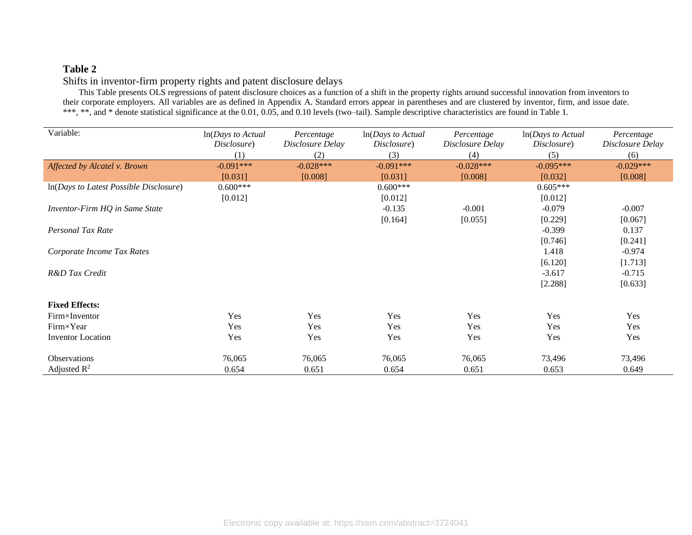# Shifts in inventor-firm property rights and patent disclosure delays

This Table presents OLS regressions of patent disclosure choices as a function of a shift in the property rights around successful innovation from inventors to their corporate employers. All variables are as defined in Appendix A. Standard errors appear in parentheses and are clustered by inventor, firm, and issue date. \*\*\*, \*\*, and \* denote statistical significance at the 0.01, 0.05, and 0.10 levels (two–tail). Sample descriptive characteristics are found in Table 1.

| Variable:                              | $ln(Days\ to\ Actual$<br>Disclosure)<br>(1) | Percentage<br>Disclosure Delay<br>(2) | In(Days to Actual<br>Disclosure)<br>(3) | Percentage<br>Disclosure Delay<br>(4) | In(Days to Actual<br>Disclosure)<br>(5) | Percentage<br>Disclosure Delay<br>(6) |
|----------------------------------------|---------------------------------------------|---------------------------------------|-----------------------------------------|---------------------------------------|-----------------------------------------|---------------------------------------|
| Affected by Alcatel v. Brown           | $-0.091***$                                 | $-0.028***$                           | $-0.091***$                             | $-0.028***$                           | $-0.095***$                             | $-0.029***$                           |
|                                        | [0.031]                                     | [0.008]                               | [0.031]                                 | [0.008]                               | [0.032]                                 | [0.008]                               |
| In(Days to Latest Possible Disclosure) | $0.600***$                                  |                                       | $0.600***$                              |                                       | $0.605***$                              |                                       |
|                                        | [0.012]                                     |                                       | [0.012]                                 |                                       | [0.012]                                 |                                       |
| Inventor-Firm HQ in Same State         |                                             |                                       | $-0.135$                                | $-0.001$                              | $-0.079$                                | $-0.007$                              |
|                                        |                                             |                                       | [0.164]                                 | [0.055]                               | [0.229]                                 | [0.067]                               |
| Personal Tax Rate                      |                                             |                                       |                                         |                                       | $-0.399$                                | 0.137                                 |
|                                        |                                             |                                       |                                         |                                       | [0.746]                                 | [0.241]                               |
| Corporate Income Tax Rates             |                                             |                                       |                                         |                                       | 1.418                                   | $-0.974$                              |
|                                        |                                             |                                       |                                         |                                       | [6.120]                                 | [1.713]                               |
| R&D Tax Credit                         |                                             |                                       |                                         |                                       | $-3.617$                                | $-0.715$                              |
|                                        |                                             |                                       |                                         |                                       | [2.288]                                 | [0.633]                               |
| <b>Fixed Effects:</b>                  |                                             |                                       |                                         |                                       |                                         |                                       |
| Firm×Inventor                          | Yes                                         | Yes                                   | <b>Yes</b>                              | Yes                                   | Yes                                     | Yes                                   |
| Firm×Year                              | Yes                                         | Yes                                   | Yes                                     | Yes                                   | Yes                                     | Yes                                   |
| <b>Inventor</b> Location               | Yes                                         | Yes                                   | Yes                                     | Yes                                   | Yes                                     | Yes                                   |
| <b>Observations</b>                    | 76,065                                      | 76,065                                | 76,065                                  | 76,065                                | 73,496                                  | 73,496                                |
| Adjusted $\mathbb{R}^2$                | 0.654                                       | 0.651                                 | 0.654                                   | 0.651                                 | 0.653                                   | 0.649                                 |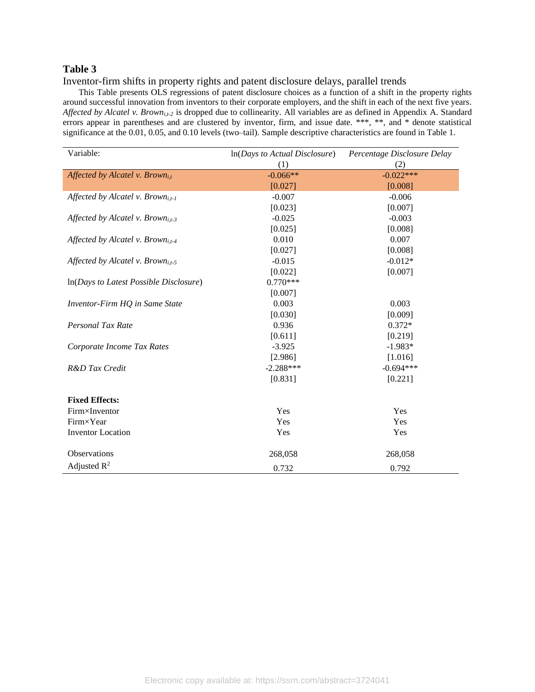Inventor-firm shifts in property rights and patent disclosure delays, parallel trends

This Table presents OLS regressions of patent disclosure choices as a function of a shift in the property rights around successful innovation from inventors to their corporate employers, and the shift in each of the next five years. *Affected by Alcatel v. Browni,t-2* is dropped due to collinearity. All variables are as defined in Appendix A. Standard errors appear in parentheses and are clustered by inventor, firm, and issue date. \*\*\*, \*\*, and \* denote statistical significance at the 0.01, 0.05, and 0.10 levels (two–tail). Sample descriptive characteristics are found in Table 1.

| Variable:                                     | $ln(Days \ to \ Actual \ Disclosure)$ | Percentage Disclosure Delay |  |  |
|-----------------------------------------------|---------------------------------------|-----------------------------|--|--|
|                                               | (1)                                   | (2)                         |  |  |
| Affected by Alcatel v. Brown <sub>i.t</sub>   | $-0.066**$                            | $-0.022***$                 |  |  |
|                                               | [0.027]                               | [0.008]                     |  |  |
| Affected by Alcatel v. Brown <sub>i,t-1</sub> | $-0.007$                              | $-0.006$                    |  |  |
|                                               | [0.023]                               | [0.007]                     |  |  |
| Affected by Alcatel v. Brown <sub>i.t-3</sub> | $-0.025$                              | $-0.003$                    |  |  |
|                                               | [0.025]                               | [0.008]                     |  |  |
| Affected by Alcatel v. Brown <sub>i.t-4</sub> | 0.010                                 | 0.007                       |  |  |
|                                               | [0.027]                               | [0.008]                     |  |  |
| Affected by Alcatel v. Brown <sub>i.t-5</sub> | $-0.015$                              | $-0.012*$                   |  |  |
|                                               | [0.022]                               | [0.007]                     |  |  |
| In(Days to Latest Possible Disclosure)        | $0.770***$                            |                             |  |  |
|                                               | [0.007]                               |                             |  |  |
| Inventor-Firm HQ in Same State                | 0.003                                 | 0.003                       |  |  |
|                                               | [0.030]                               | [0.009]                     |  |  |
| Personal Tax Rate                             | 0.936                                 | $0.372*$                    |  |  |
|                                               | [0.611]                               | [0.219]                     |  |  |
| Corporate Income Tax Rates                    | $-3.925$                              | $-1.983*$                   |  |  |
|                                               | [2.986]                               | [1.016]                     |  |  |
| R&D Tax Credit                                | $-2.288***$                           | $-0.694***$                 |  |  |
|                                               | [0.831]                               | [0.221]                     |  |  |
| <b>Fixed Effects:</b>                         |                                       |                             |  |  |
| Firm×Inventor                                 | Yes                                   | Yes                         |  |  |
| Firm×Year                                     | Yes                                   | Yes                         |  |  |
| <b>Inventor</b> Location                      | Yes                                   | Yes                         |  |  |
| Observations                                  | 268,058                               | 268,058                     |  |  |
| Adjusted $R^2$                                | 0.732                                 | 0.792                       |  |  |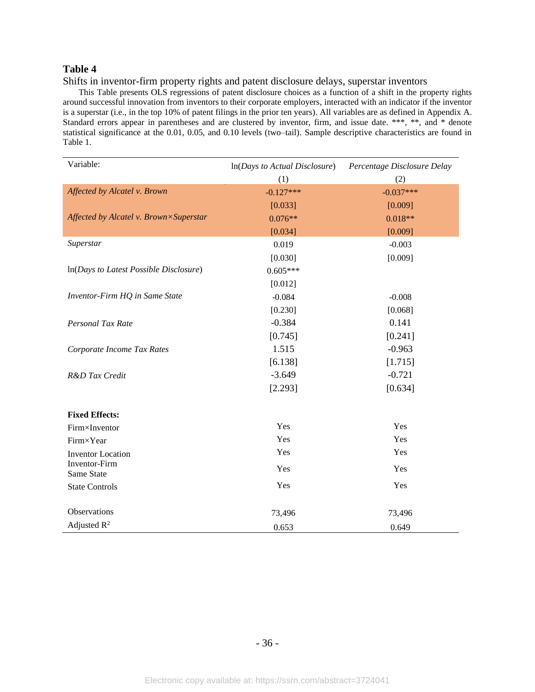Shifts in inventor-firm property rights and patent disclosure delays, superstar inventors

This Table presents OLS regressions of patent disclosure choices as a function of a shift in the property rights around successful innovation from inventors to their corporate employers, interacted with an indicator if the inventor is a superstar (i.e., in the top 10% of patent filings in the prior ten years). All variables are as defined in Appendix A. Standard errors appear in parentheses and are clustered by inventor, firm, and issue date. \*\*\*, \*\*, and \* denote statistical significance at the 0.01, 0.05, and 0.10 levels (two–tail). Sample descriptive characteristics are found in Table 1.

| Variable:                              | $ln(Days \ to \ Actual \ Disclosure)$ | Percentage Disclosure Delay |  |  |
|----------------------------------------|---------------------------------------|-----------------------------|--|--|
|                                        | (1)                                   | (2)                         |  |  |
| Affected by Alcatel v. Brown           | $-0.127***$                           | $-0.037***$                 |  |  |
|                                        | [0.033]                               | [0.009]                     |  |  |
| Affected by Alcatel v. Brown×Superstar | $0.076**$                             | $0.018**$                   |  |  |
|                                        | [0.034]                               | [0.009]                     |  |  |
| Superstar                              | 0.019                                 | $-0.003$                    |  |  |
|                                        | [0.030]                               | [0.009]                     |  |  |
| In(Days to Latest Possible Disclosure) | $0.605***$                            |                             |  |  |
|                                        | [0.012]                               |                             |  |  |
| Inventor-Firm HQ in Same State         | $-0.084$                              | $-0.008$                    |  |  |
|                                        | [0.230]                               | [0.068]                     |  |  |
| Personal Tax Rate                      | $-0.384$                              | 0.141                       |  |  |
|                                        | [0.745]                               | [0.241]                     |  |  |
| Corporate Income Tax Rates             | 1.515                                 | $-0.963$                    |  |  |
|                                        | [6.138]                               | [1.715]                     |  |  |
| R&D Tax Credit                         | $-3.649$                              | $-0.721$                    |  |  |
|                                        | [2.293]                               | [0.634]                     |  |  |
| <b>Fixed Effects:</b>                  |                                       |                             |  |  |
| Firm×Inventor                          | Yes                                   | Yes                         |  |  |
| Firm×Year                              | Yes                                   | Yes                         |  |  |
| <b>Inventor</b> Location               | Yes                                   | Yes                         |  |  |
| Inventor-Firm<br>Same State            | Yes                                   | Yes                         |  |  |
| <b>State Controls</b>                  | Yes                                   | Yes                         |  |  |
| Observations                           | 73,496                                | 73,496                      |  |  |
| Adjusted $R^2$                         | 0.653                                 | 0.649                       |  |  |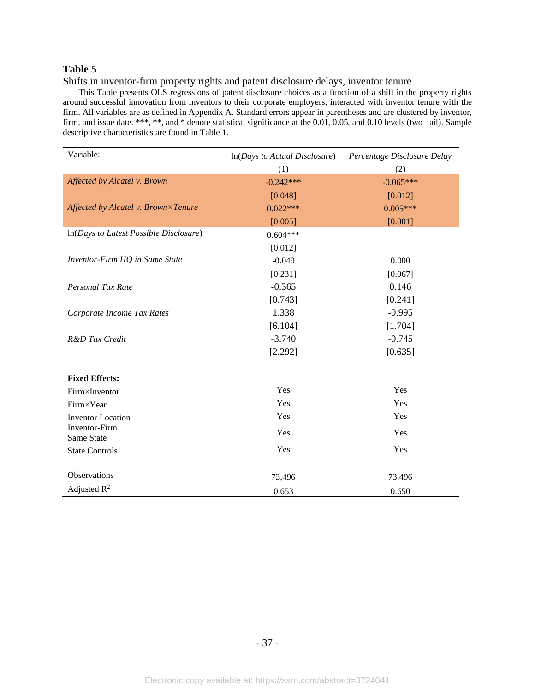Shifts in inventor-firm property rights and patent disclosure delays, inventor tenure

This Table presents OLS regressions of patent disclosure choices as a function of a shift in the property rights around successful innovation from inventors to their corporate employers, interacted with inventor tenure with the firm. All variables are as defined in Appendix A. Standard errors appear in parentheses and are clustered by inventor, firm, and issue date. \*\*\*, \*\*, and \* denote statistical significance at the 0.01, 0.05, and 0.10 levels (two–tail). Sample descriptive characteristics are found in Table 1.

| Variable:                              | In(Days to Actual Disclosure) | Percentage Disclosure Delay |
|----------------------------------------|-------------------------------|-----------------------------|
|                                        | (1)                           | (2)                         |
| Affected by Alcatel v. Brown           | $-0.242***$                   | $-0.065***$                 |
|                                        | [0.048]                       | [0.012]                     |
| Affected by Alcatel v. Brown×Tenure    | $0.022***$                    | $0.005***$                  |
|                                        | [0.005]                       | [0.001]                     |
| In(Days to Latest Possible Disclosure) | $0.604***$                    |                             |
|                                        | [0.012]                       |                             |
| Inventor-Firm HQ in Same State         | $-0.049$                      | 0.000                       |
|                                        | [0.231]                       | [0.067]                     |
| Personal Tax Rate                      | $-0.365$                      | 0.146                       |
|                                        | [0.743]                       | [0.241]                     |
| Corporate Income Tax Rates             | 1.338                         | $-0.995$                    |
|                                        | [6.104]                       | [1.704]                     |
| R&D Tax Credit                         | $-3.740$                      | $-0.745$                    |
|                                        | [2.292]                       | [0.635]                     |
|                                        |                               |                             |
| <b>Fixed Effects:</b>                  |                               |                             |
| Firm×Inventor                          | Yes                           | Yes                         |
| Firm×Year                              | Yes                           | Yes                         |
| <b>Inventor Location</b>               | Yes                           | Yes                         |
| Inventor-Firm<br>Same State            | Yes                           | Yes                         |
| <b>State Controls</b>                  | Yes                           | Yes                         |
| Observations                           | 73,496                        | 73,496                      |
| Adjusted $R^2$                         | 0.653                         | 0.650                       |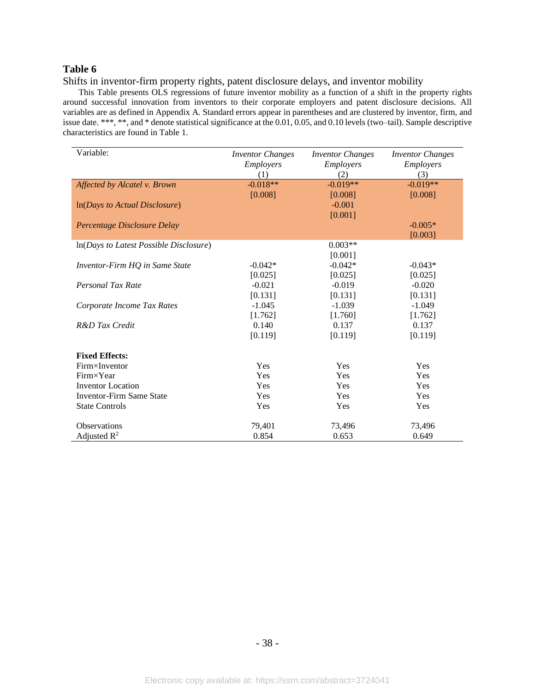Shifts in inventor-firm property rights, patent disclosure delays, and inventor mobility

This Table presents OLS regressions of future inventor mobility as a function of a shift in the property rights around successful innovation from inventors to their corporate employers and patent disclosure decisions. All variables are as defined in Appendix A. Standard errors appear in parentheses and are clustered by inventor, firm, and issue date. \*\*\*, \*\*, and \* denote statistical significance at the 0.01, 0.05, and 0.10 levels (two–tail). Sample descriptive characteristics are found in Table 1.

| Variable:                              | <b>Inventor Changes</b> | <b>Inventor Changes</b> | <b>Inventor Changes</b> |
|----------------------------------------|-------------------------|-------------------------|-------------------------|
|                                        | Employers               | Employers               | Employers               |
|                                        | (1)                     | (2)                     | (3)                     |
| Affected by Alcatel v. Brown           | $-0.018**$              | $-0.019**$              | $-0.019**$              |
|                                        | [0.008]                 | [0.008]                 | [0.008]                 |
| In(Days to Actual Disclosure)          |                         | $-0.001$                |                         |
|                                        |                         | [0.001]                 |                         |
| Percentage Disclosure Delay            |                         |                         | $-0.005*$               |
|                                        |                         |                         | [0.003]                 |
| In(Days to Latest Possible Disclosure) |                         | $0.003**$               |                         |
|                                        |                         | [0.001]                 |                         |
| Inventor-Firm HQ in Same State         | $-0.042*$               | $-0.042*$               | $-0.043*$               |
|                                        | [0.025]                 | [0.025]                 | [0.025]                 |
| Personal Tax Rate                      | $-0.021$                | $-0.019$                | $-0.020$                |
|                                        | [0.131]                 | [0.131]                 | [0.131]                 |
| Corporate Income Tax Rates             | $-1.045$                | $-1.039$                | $-1.049$                |
|                                        | [1.762]                 | [1.760]                 | [1.762]                 |
| R&D Tax Credit                         | 0.140                   | 0.137                   | 0.137                   |
|                                        | [0.119]                 | [0.119]                 | [0.119]                 |
| <b>Fixed Effects:</b>                  |                         |                         |                         |
| Firm×Inventor                          | Yes                     | Yes                     | Yes                     |
| Firm×Year                              | Yes                     | Yes                     | Yes                     |
| <b>Inventor</b> Location               | Yes                     | Yes                     | Yes                     |
| <b>Inventor-Firm Same State</b>        | Yes                     | Yes                     | Yes                     |
| <b>State Controls</b>                  | Yes                     | Yes                     | Yes                     |
| <b>Observations</b>                    | 79,401                  | 73,496                  | 73,496                  |
| Adjusted $R^2$                         | 0.854                   | 0.653                   | 0.649                   |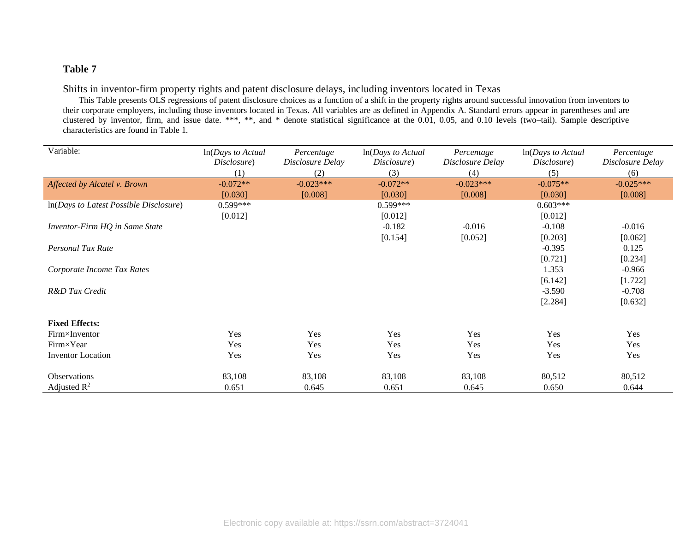# Shifts in inventor-firm property rights and patent disclosure delays, including inventors located in Texas

This Table presents OLS regressions of patent disclosure choices as a function of a shift in the property rights around successful innovation from inventors to their corporate employers, including those inventors located in Texas. All variables are as defined in Appendix A. Standard errors appear in parentheses and are clustered by inventor, firm, and issue date. \*\*\*, \*\*, and \* denote statistical significance at the 0.01, 0.05, and 0.10 levels (two–tail). Sample descriptive characteristics are found in Table 1.

| Variable:                                | $ln(Days\ to\ Actual$ | Percentage       | In(Days to Actual | Percentage       | $ln(Days\ to\ Actual$ | Percentage       |
|------------------------------------------|-----------------------|------------------|-------------------|------------------|-----------------------|------------------|
|                                          | Disclosure)           | Disclosure Delay | Disclosure)       | Disclosure Delay | Disclosure)           | Disclosure Delay |
|                                          | (1)                   | (2)              | (3)               | (4)              | (5)                   | (6)              |
| Affected by Alcatel v. Brown             | $-0.072**$            | $-0.023***$      | $-0.072**$        | $-0.023***$      | $-0.075**$            | $-0.025***$      |
|                                          | [0.030]               | [0.008]          | [0.030]           | [0.008]          | [0.030]               | [0.008]          |
| $ln(Days to Latest Possible Disclosure)$ | $0.599***$            |                  | $0.599***$        |                  | $0.603***$            |                  |
|                                          | [0.012]               |                  | [0.012]           |                  | [0.012]               |                  |
| Inventor-Firm HQ in Same State           |                       |                  | $-0.182$          | $-0.016$         | $-0.108$              | $-0.016$         |
|                                          |                       |                  | [0.154]           | [0.052]          | [0.203]               | [0.062]          |
| Personal Tax Rate                        |                       |                  |                   |                  | $-0.395$              | 0.125            |
|                                          |                       |                  |                   |                  | [0.721]               | [0.234]          |
| Corporate Income Tax Rates               |                       |                  |                   |                  | 1.353                 | $-0.966$         |
|                                          |                       |                  |                   |                  | [6.142]               | [1.722]          |
| R&D Tax Credit                           |                       |                  |                   |                  | $-3.590$              | $-0.708$         |
|                                          |                       |                  |                   |                  | [2.284]               | [0.632]          |
|                                          |                       |                  |                   |                  |                       |                  |
| <b>Fixed Effects:</b>                    |                       |                  |                   |                  |                       |                  |
| Firm×Inventor                            | Yes                   | Yes              | Yes               | Yes              | Yes                   | Yes              |
| Firm×Year                                | Yes                   | Yes              | Yes               | Yes              | Yes                   | Yes              |
| Inventor Location                        | Yes                   | Yes              | Yes               | Yes              | Yes                   | Yes              |
|                                          |                       |                  |                   |                  |                       |                  |
| <b>Observations</b>                      | 83,108                | 83,108           | 83,108            | 83,108           | 80,512                | 80,512           |
| Adjusted $\mathbb{R}^2$                  | 0.651                 | 0.645            | 0.651             | 0.645            | 0.650                 | 0.644            |